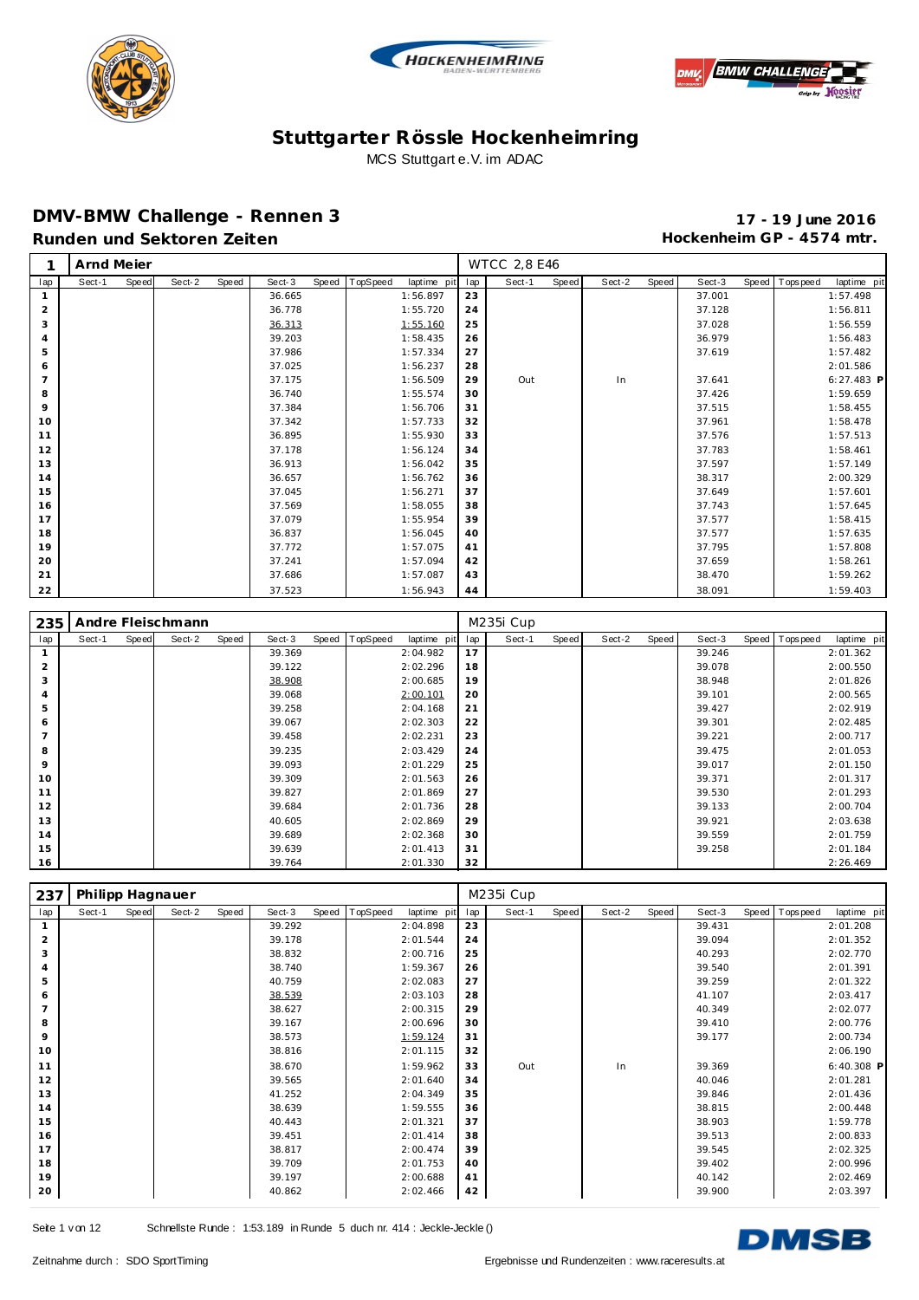





#### **DMV-BMW Challenge - Rennen 3 17 - 19 June 2016** Runden und Sektoren Zeiten **Munden und Sektoren Zeiten Hockenheim GP** - 4574 mtr.

|     | Arnd Meier |       |        |       |        |       |          |             |     | <b>WTCC 2,8 E46</b> |       |        |       |        |       |            |              |
|-----|------------|-------|--------|-------|--------|-------|----------|-------------|-----|---------------------|-------|--------|-------|--------|-------|------------|--------------|
| lap | Sect-1     | Speed | Sect-2 | Speed | Sect-3 | Speed | TopSpeed | laptime pit | lap | Sect-1              | Speed | Sect-2 | Speed | Sect-3 | Speed | T ops peed | laptime pit  |
|     |            |       |        |       | 36.665 |       |          | 1:56.897    | 23  |                     |       |        |       | 37.001 |       |            | 1:57.498     |
| 2   |            |       |        |       | 36.778 |       |          | 1:55.720    | 24  |                     |       |        |       | 37.128 |       |            | 1:56.811     |
| 3   |            |       |        |       | 36.313 |       |          | 1:55.160    | 25  |                     |       |        |       | 37.028 |       |            | 1:56.559     |
| 4   |            |       |        |       | 39.203 |       |          | 1:58.435    | 26  |                     |       |        |       | 36.979 |       |            | 1:56.483     |
| 5   |            |       |        |       | 37.986 |       |          | 1:57.334    | 27  |                     |       |        |       | 37.619 |       |            | 1:57.482     |
| 6   |            |       |        |       | 37.025 |       |          | 1:56.237    | 28  |                     |       |        |       |        |       |            | 2:01.586     |
| 7   |            |       |        |       | 37.175 |       |          | 1:56.509    | 29  | Out                 |       | In     |       | 37.641 |       |            | $6:27.483$ P |
| 8   |            |       |        |       | 36.740 |       |          | 1:55.574    | 30  |                     |       |        |       | 37.426 |       |            | 1:59.659     |
| 9   |            |       |        |       | 37.384 |       |          | 1:56.706    | 31  |                     |       |        |       | 37.515 |       |            | 1:58.455     |
| 10  |            |       |        |       | 37.342 |       |          | 1:57.733    | 32  |                     |       |        |       | 37.961 |       |            | 1:58.478     |
| 11  |            |       |        |       | 36.895 |       |          | 1:55.930    | 33  |                     |       |        |       | 37.576 |       |            | 1:57.513     |
| 12  |            |       |        |       | 37.178 |       |          | 1:56.124    | 34  |                     |       |        |       | 37.783 |       |            | 1:58.461     |
| 13  |            |       |        |       | 36.913 |       |          | 1:56.042    | 35  |                     |       |        |       | 37.597 |       |            | 1:57.149     |
| 14  |            |       |        |       | 36.657 |       |          | 1:56.762    | 36  |                     |       |        |       | 38.317 |       |            | 2:00.329     |
| 15  |            |       |        |       | 37.045 |       |          | 1:56.271    | 37  |                     |       |        |       | 37.649 |       |            | 1:57.601     |
| 16  |            |       |        |       | 37.569 |       |          | 1:58.055    | 38  |                     |       |        |       | 37.743 |       |            | 1:57.645     |
| 17  |            |       |        |       | 37.079 |       |          | 1:55.954    | 39  |                     |       |        |       | 37.577 |       |            | 1:58.415     |
| 18  |            |       |        |       | 36.837 |       |          | 1:56.045    | 40  |                     |       |        |       | 37.577 |       |            | 1:57.635     |
| 19  |            |       |        |       | 37.772 |       |          | 1:57.075    | 41  |                     |       |        |       | 37.795 |       |            | 1:57.808     |
| 20  |            |       |        |       | 37.241 |       |          | 1:57.094    | 42  |                     |       |        |       | 37.659 |       |            | 1:58.261     |
| 21  |            |       |        |       | 37.686 |       |          | 1:57.087    | 43  |                     |       |        |       | 38.470 |       |            | 1:59.262     |
| 22  |            |       |        |       | 37.523 |       |          | 1:56.943    | 44  |                     |       |        |       | 38.091 |       |            | 1:59.403     |

| 235            |        |       | Andre Fleischmann |       |        |       |          |             |     | M235i Cup |       |        |       |        |       |          |             |
|----------------|--------|-------|-------------------|-------|--------|-------|----------|-------------|-----|-----------|-------|--------|-------|--------|-------|----------|-------------|
| lap            | Sect-1 | Speed | Sect-2            | Speed | Sect-3 | Speed | TopSpeed | laptime pit | lap | Sect-1    | Speed | Sect-2 | Speed | Sect-3 | Speed | Topspeed | laptime pit |
| 1              |        |       |                   |       | 39.369 |       |          | 2:04.982    | 17  |           |       |        |       | 39.246 |       |          | 2:01.362    |
| 2              |        |       |                   |       | 39.122 |       |          | 2:02.296    | 18  |           |       |        |       | 39.078 |       |          | 2:00.550    |
| 3              |        |       |                   |       | 38.908 |       |          | 2:00.685    | 19  |           |       |        |       | 38.948 |       |          | 2:01.826    |
| 4              |        |       |                   |       | 39.068 |       |          | 2:00.101    | 20  |           |       |        |       | 39.101 |       |          | 2:00.565    |
| 5              |        |       |                   |       | 39.258 |       |          | 2:04.168    | 21  |           |       |        |       | 39.427 |       |          | 2:02.919    |
| 6              |        |       |                   |       | 39.067 |       |          | 2:02.303    | 22  |           |       |        |       | 39.301 |       |          | 2:02.485    |
| $\overline{7}$ |        |       |                   |       | 39.458 |       |          | 2:02.231    | 23  |           |       |        |       | 39.221 |       |          | 2:00.717    |
| 8              |        |       |                   |       | 39.235 |       |          | 2:03.429    | 24  |           |       |        |       | 39.475 |       |          | 2:01.053    |
| 9              |        |       |                   |       | 39.093 |       |          | 2:01.229    | 25  |           |       |        |       | 39.017 |       |          | 2:01.150    |
| 10             |        |       |                   |       | 39.309 |       |          | 2:01.563    | 26  |           |       |        |       | 39.371 |       |          | 2:01.317    |
| 11             |        |       |                   |       | 39.827 |       |          | 2:01.869    | 27  |           |       |        |       | 39.530 |       |          | 2:01.293    |
| 12             |        |       |                   |       | 39.684 |       |          | 2:01.736    | 28  |           |       |        |       | 39.133 |       |          | 2:00.704    |
| 13             |        |       |                   |       | 40.605 |       |          | 2:02.869    | 29  |           |       |        |       | 39.921 |       |          | 2:03.638    |
| 14             |        |       |                   |       | 39.689 |       |          | 2:02.368    | 30  |           |       |        |       | 39.559 |       |          | 2:01.759    |
| 15             |        |       |                   |       | 39.639 |       |          | 2:01.413    | 31  |           |       |        |       | 39.258 |       |          | 2:01.184    |
| 16             |        |       |                   |       | 39.764 |       |          | 2:01.330    | 32  |           |       |        |       |        |       |          | 2:26.469    |

| 237            | Philipp Hagnauer |       |        |       |        |       |          |             |     | M235i Cup |       |        |       |        |                   |              |
|----------------|------------------|-------|--------|-------|--------|-------|----------|-------------|-----|-----------|-------|--------|-------|--------|-------------------|--------------|
| lap            | Sect-1           | Speed | Sect-2 | Speed | Sect-3 | Speed | TopSpeed | laptime pit | lap | Sect-1    | Speed | Sect-2 | Speed | Sect-3 | Speed   Tops peed | laptime pit  |
|                |                  |       |        |       | 39.292 |       |          | 2:04.898    | 23  |           |       |        |       | 39.431 |                   | 2:01.208     |
| 2              |                  |       |        |       | 39.178 |       |          | 2:01.544    | 24  |           |       |        |       | 39.094 |                   | 2:01.352     |
| 3              |                  |       |        |       | 38.832 |       |          | 2:00.716    | 25  |           |       |        |       | 40.293 |                   | 2:02.770     |
| $\overline{4}$ |                  |       |        |       | 38.740 |       |          | 1:59.367    | 26  |           |       |        |       | 39.540 |                   | 2:01.391     |
| 5              |                  |       |        |       | 40.759 |       |          | 2:02.083    | 27  |           |       |        |       | 39.259 |                   | 2:01.322     |
| 6              |                  |       |        |       | 38.539 |       |          | 2:03.103    | 28  |           |       |        |       | 41.107 |                   | 2:03.417     |
| $\overline{7}$ |                  |       |        |       | 38.627 |       |          | 2:00.315    | 29  |           |       |        |       | 40.349 |                   | 2:02.077     |
| 8              |                  |       |        |       | 39.167 |       |          | 2:00.696    | 30  |           |       |        |       | 39.410 |                   | 2:00.776     |
| 9              |                  |       |        |       | 38.573 |       |          | 1:59.124    | 31  |           |       |        |       | 39.177 |                   | 2:00.734     |
| 10             |                  |       |        |       | 38.816 |       |          | 2:01.115    | 32  |           |       |        |       |        |                   | 2:06.190     |
| 11             |                  |       |        |       | 38.670 |       |          | 1:59.962    | 33  | Out       |       | In     |       | 39.369 |                   | $6:40.308$ P |
| 12             |                  |       |        |       | 39.565 |       |          | 2:01.640    | 34  |           |       |        |       | 40.046 |                   | 2:01.281     |
| 13             |                  |       |        |       | 41.252 |       |          | 2:04.349    | 35  |           |       |        |       | 39.846 |                   | 2:01.436     |
| 14             |                  |       |        |       | 38.639 |       |          | 1:59.555    | 36  |           |       |        |       | 38.815 |                   | 2:00.448     |
| 15             |                  |       |        |       | 40.443 |       |          | 2:01.321    | 37  |           |       |        |       | 38.903 |                   | 1:59.778     |
| 16             |                  |       |        |       | 39.451 |       |          | 2:01.414    | 38  |           |       |        |       | 39.513 |                   | 2:00.833     |
| 17             |                  |       |        |       | 38.817 |       |          | 2:00.474    | 39  |           |       |        |       | 39.545 |                   | 2:02.325     |
| 18             |                  |       |        |       | 39.709 |       |          | 2:01.753    | 40  |           |       |        |       | 39.402 |                   | 2:00.996     |
| 19             |                  |       |        |       | 39.197 |       |          | 2:00.688    | 41  |           |       |        |       | 40.142 |                   | 2:02.469     |
| 20             |                  |       |        |       | 40.862 |       |          | 2:02.466    | 42  |           |       |        |       | 39.900 |                   | 2:03.397     |

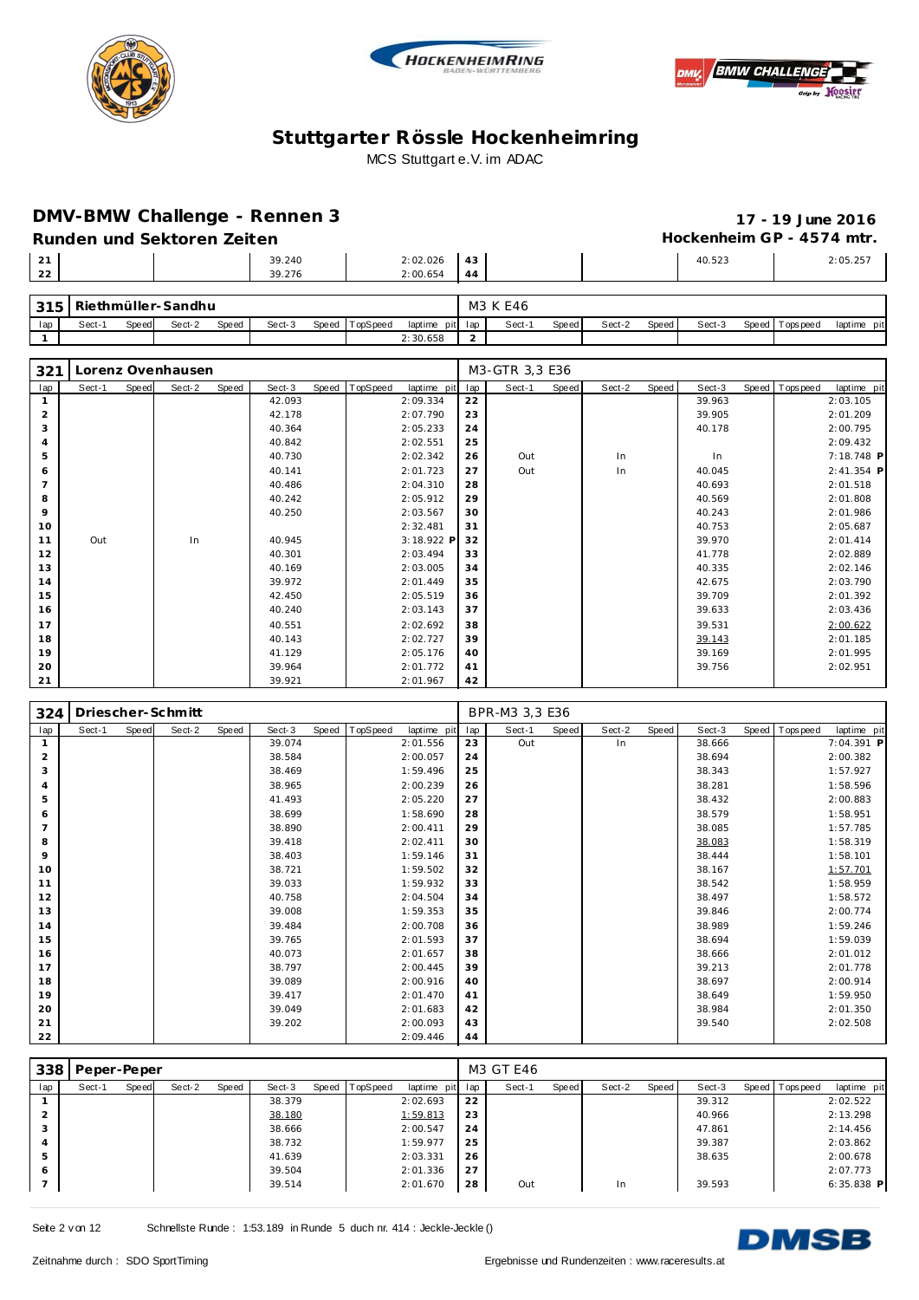





### **DMV-BMW Challenge - Rennen 3**<br>Punden und Sekteren Zeiten

# **Runden und Sektoren Zeiten Hockenheim GP - 4574 mtr.**

|    | -Runden und Sektoren Zeiten |        |          |    |  |        | $HOCREHEHEHH GF - 4574HH.$ |
|----|-----------------------------|--------|----------|----|--|--------|----------------------------|
| 21 |                             | 39.240 | 2:02.026 | 43 |  | 40.523 | 2:05.257                   |
| 22 |                             | 39.276 | 2:00.654 | 44 |  |        |                            |
|    |                             |        |          |    |  |        |                            |

| 315 |       |       | Riethmüller-Sandhu |       |        |                |          |         | M3 K E46 |              |        |       |        |                |             |
|-----|-------|-------|--------------------|-------|--------|----------------|----------|---------|----------|--------------|--------|-------|--------|----------------|-------------|
| lap | Sect- | Speed | Sect-2             | Speed | Sect-3 | Speed TopSpeed | laptime  | pit lap | Sect-    | <b>Speed</b> | Sect-2 | Speed | Sect-3 | Speed Topspeed | laptime pit |
|     |       |       |                    |       |        |                | 2:30.658 |         |          |              |        |       |        |                |             |

| 321            |        |       | Lorenz Ovenhausen |       |        |                |             |     | M3-GTR 3,3 E36 |       |        |       |        |                |             |
|----------------|--------|-------|-------------------|-------|--------|----------------|-------------|-----|----------------|-------|--------|-------|--------|----------------|-------------|
| lap            | Sect-1 | Speed | Sect-2            | Speed | Sect-3 | Speed TopSpeed | laptime pit | lap | Sect-1         | Speed | Sect-2 | Speed | Sect-3 | Speed Topspeed | laptime pit |
|                |        |       |                   |       | 42.093 |                | 2:09.334    | 22  |                |       |        |       | 39.963 |                | 2:03.105    |
| $\overline{2}$ |        |       |                   |       | 42.178 |                | 2:07.790    | 23  |                |       |        |       | 39.905 |                | 2:01.209    |
| 3              |        |       |                   |       | 40.364 |                | 2:05.233    | 24  |                |       |        |       | 40.178 |                | 2:00.795    |
| 4              |        |       |                   |       | 40.842 |                | 2:02.551    | 25  |                |       |        |       |        |                | 2:09.432    |
| 5              |        |       |                   |       | 40.730 |                | 2:02.342    | 26  | Out            |       | In     |       | In     |                | 7:18.748 P  |
| 6              |        |       |                   |       | 40.141 |                | 2:01.723    | 27  | Out            |       | In     |       | 40.045 |                | 2:41.354 P  |
| $\overline{7}$ |        |       |                   |       | 40.486 |                | 2:04.310    | 28  |                |       |        |       | 40.693 |                | 2:01.518    |
| 8              |        |       |                   |       | 40.242 |                | 2:05.912    | 29  |                |       |        |       | 40.569 |                | 2:01.808    |
| 9              |        |       |                   |       | 40.250 |                | 2:03.567    | 30  |                |       |        |       | 40.243 |                | 2:01.986    |
| 10             |        |       |                   |       |        |                | 2:32.481    | 31  |                |       |        |       | 40.753 |                | 2:05.687    |
| 11             | Out    |       | In                |       | 40.945 |                | 3:18.922 P  | 32  |                |       |        |       | 39.970 |                | 2:01.414    |
| 12             |        |       |                   |       | 40.301 |                | 2:03.494    | 33  |                |       |        |       | 41.778 |                | 2:02.889    |
| 13             |        |       |                   |       | 40.169 |                | 2:03.005    | 34  |                |       |        |       | 40.335 |                | 2:02.146    |
| 14             |        |       |                   |       | 39.972 |                | 2:01.449    | 35  |                |       |        |       | 42.675 |                | 2:03.790    |
| 15             |        |       |                   |       | 42.450 |                | 2:05.519    | 36  |                |       |        |       | 39.709 |                | 2:01.392    |
| 16             |        |       |                   |       | 40.240 |                | 2:03.143    | 37  |                |       |        |       | 39.633 |                | 2:03.436    |
| 17             |        |       |                   |       | 40.551 |                | 2:02.692    | 38  |                |       |        |       | 39.531 |                | 2:00.622    |
| 18             |        |       |                   |       | 40.143 |                | 2:02.727    | 39  |                |       |        |       | 39.143 |                | 2:01.185    |
| 19             |        |       |                   |       | 41.129 |                | 2:05.176    | 40  |                |       |        |       | 39.169 |                | 2:01.995    |
| 20             |        |       |                   |       | 39.964 |                | 2:01.772    | 41  |                |       |        |       | 39.756 |                | 2:02.951    |
| 21             |        |       |                   |       | 39.921 |                | 2:01.967    | 42  |                |       |        |       |        |                |             |

| 324            |        |              | Driescher-Schmitt |       |        |       |          |             |     | BPR-M3 3,3 E36 |       |        |       |        |                   |             |
|----------------|--------|--------------|-------------------|-------|--------|-------|----------|-------------|-----|----------------|-------|--------|-------|--------|-------------------|-------------|
| lap            | Sect-1 | <b>Speed</b> | Sect-2            | Speed | Sect-3 | Speed | TopSpeed | laptime pit | lap | Sect-1         | Speed | Sect-2 | Speed | Sect-3 | Speed   Tops peed | laptime pit |
|                |        |              |                   |       | 39.074 |       |          | 2:01.556    | 23  | Out            |       | In     |       | 38.666 |                   | 7:04.391 P  |
| 2              |        |              |                   |       | 38.584 |       |          | 2:00.057    | 24  |                |       |        |       | 38.694 |                   | 2:00.382    |
| 3              |        |              |                   |       | 38.469 |       |          | 1:59.496    | 25  |                |       |        |       | 38.343 |                   | 1:57.927    |
| 4              |        |              |                   |       | 38.965 |       |          | 2:00.239    | 26  |                |       |        |       | 38.281 |                   | 1:58.596    |
| 5              |        |              |                   |       | 41.493 |       |          | 2:05.220    | 27  |                |       |        |       | 38.432 |                   | 2:00.883    |
| 6              |        |              |                   |       | 38.699 |       |          | 1:58.690    | 28  |                |       |        |       | 38.579 |                   | 1:58.951    |
| $\overline{7}$ |        |              |                   |       | 38.890 |       |          | 2:00.411    | 29  |                |       |        |       | 38.085 |                   | 1:57.785    |
| 8              |        |              |                   |       | 39.418 |       |          | 2:02.411    | 30  |                |       |        |       | 38.083 |                   | 1:58.319    |
| 9              |        |              |                   |       | 38.403 |       |          | 1:59.146    | 31  |                |       |        |       | 38.444 |                   | 1:58.101    |
| 10             |        |              |                   |       | 38.721 |       |          | 1:59.502    | 32  |                |       |        |       | 38.167 |                   | 1:57.701    |
| 11             |        |              |                   |       | 39.033 |       |          | 1:59.932    | 33  |                |       |        |       | 38.542 |                   | 1:58.959    |
| 12             |        |              |                   |       | 40.758 |       |          | 2:04.504    | 34  |                |       |        |       | 38.497 |                   | 1:58.572    |
| 13             |        |              |                   |       | 39.008 |       |          | 1:59.353    | 35  |                |       |        |       | 39.846 |                   | 2:00.774    |
| 14             |        |              |                   |       | 39.484 |       |          | 2:00.708    | 36  |                |       |        |       | 38.989 |                   | 1:59.246    |
| 15             |        |              |                   |       | 39.765 |       |          | 2:01.593    | 37  |                |       |        |       | 38.694 |                   | 1:59.039    |
| 16             |        |              |                   |       | 40.073 |       |          | 2:01.657    | 38  |                |       |        |       | 38.666 |                   | 2:01.012    |
| 17             |        |              |                   |       | 38.797 |       |          | 2:00.445    | 39  |                |       |        |       | 39.213 |                   | 2:01.778    |
| 18             |        |              |                   |       | 39.089 |       |          | 2:00.916    | 40  |                |       |        |       | 38.697 |                   | 2:00.914    |
| 19             |        |              |                   |       | 39.417 |       |          | 2:01.470    | 41  |                |       |        |       | 38.649 |                   | 1:59.950    |
| 20             |        |              |                   |       | 39.049 |       |          | 2:01.683    | 42  |                |       |        |       | 38.984 |                   | 2:01.350    |
| 21             |        |              |                   |       | 39.202 |       |          | 2:00.093    | 43  |                |       |        |       | 39.540 |                   | 2:02.508    |
| 22             |        |              |                   |       |        |       |          | 2:09.446    | 44  |                |       |        |       |        |                   |             |

| 338 | Peper-Peper |       |        |       |        |                |             |     | M3 GT E46 |       |        |       |        |                |              |
|-----|-------------|-------|--------|-------|--------|----------------|-------------|-----|-----------|-------|--------|-------|--------|----------------|--------------|
| lap | Sect-1      | Speed | Sect-2 | Speed | Sect-3 | Speed TopSpeed | laptime pit | lap | Sect-1    | Speed | Sect-2 | Speed | Sect-3 | Speed Topspeed | laptime pit  |
|     |             |       |        |       | 38.379 |                | 2:02.693    | 22  |           |       |        |       | 39.312 |                | 2:02.522     |
|     |             |       |        |       | 38.180 |                | 1:59.813    | 23  |           |       |        |       | 40.966 |                | 2:13.298     |
| 3   |             |       |        |       | 38.666 |                | 2:00.547    | 24  |           |       |        |       | 47.861 |                | 2:14.456     |
| 4   |             |       |        |       | 38.732 |                | 1:59.977    | 25  |           |       |        |       | 39.387 |                | 2:03.862     |
| 5   |             |       |        |       | 41.639 |                | 2:03.331    | 26  |           |       |        |       | 38.635 |                | 2:00.678     |
| 6   |             |       |        |       | 39.504 |                | 2:01.336    | 27  |           |       |        |       |        |                | 2:07.773     |
|     |             |       |        |       | 39.514 |                | 2:01.670    | 28  | Out       |       | In     |       | 39.593 |                | $6:35.838$ P |

Seite 2 v on 12 Schnellste Runde : 1:53.189 in Runde 5 duch nr. 414 : Jeckle-Jeckle ()

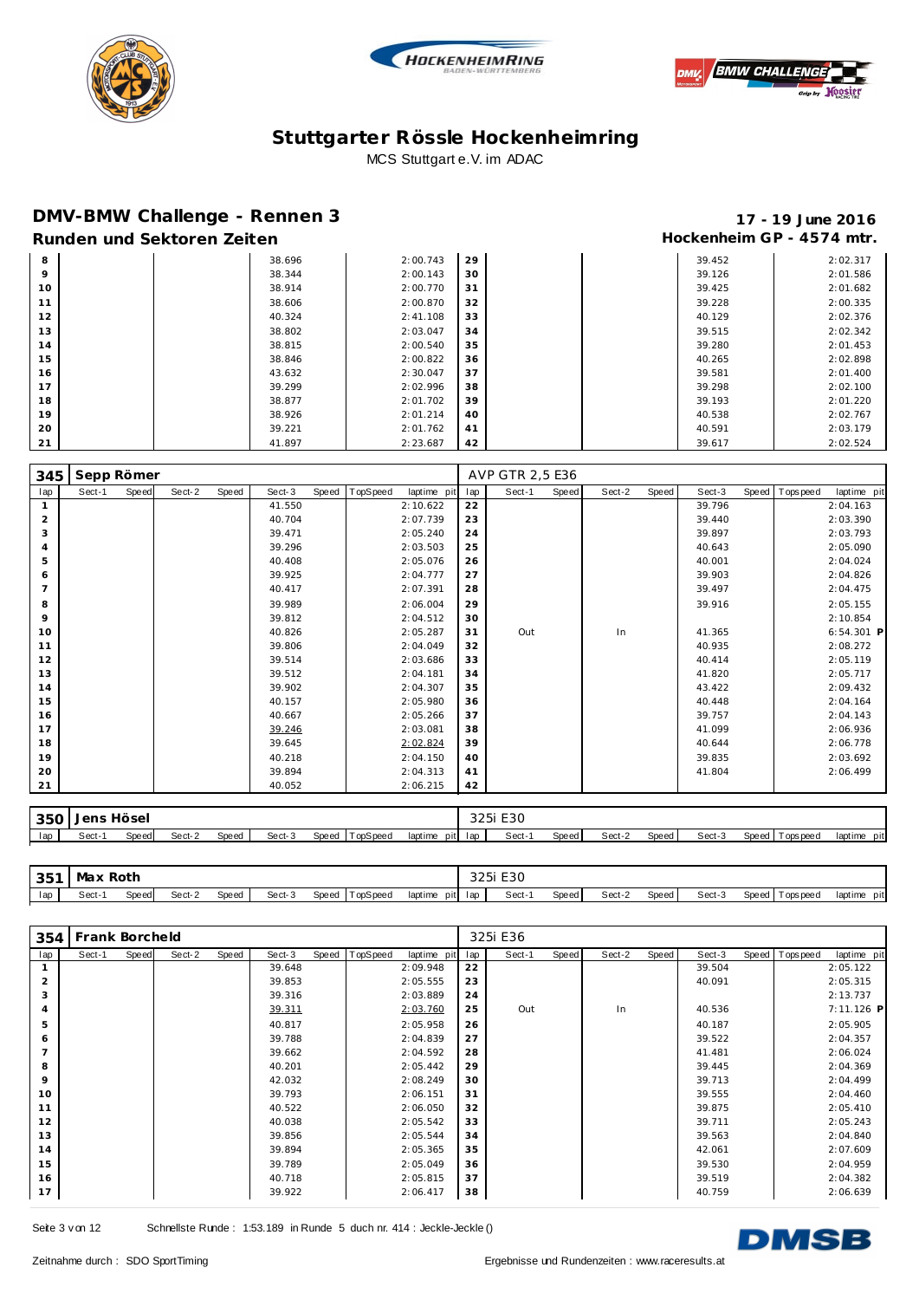





### **DMV-BMW Challenge - Rennen 3 17 - 19 June 2016**

# Runden und Sektoren Zeiten **Munden und Sektoren Zeiten Hockenheim GP** - 4574 mtr.

| 8  | 38.696 | 2:00.743 | 29 |  | 39.452 | 2:02.317 |
|----|--------|----------|----|--|--------|----------|
| 9  | 38.344 | 2:00.143 | 30 |  | 39.126 | 2:01.586 |
| 10 | 38.914 | 2:00.770 | 31 |  | 39.425 | 2:01.682 |
| 11 | 38.606 | 2:00.870 | 32 |  | 39.228 | 2:00.335 |
| 12 | 40.324 | 2:41.108 | 33 |  | 40.129 | 2:02.376 |
| 13 | 38.802 | 2:03.047 | 34 |  | 39.515 | 2:02.342 |
| 14 | 38.815 | 2:00.540 | 35 |  | 39.280 | 2:01.453 |
| 15 | 38.846 | 2:00.822 | 36 |  | 40.265 | 2:02.898 |
| 16 | 43.632 | 2:30.047 | 37 |  | 39.581 | 2:01.400 |
| 17 | 39.299 | 2:02.996 | 38 |  | 39.298 | 2:02.100 |
| 18 | 38.877 | 2:01.702 | 39 |  | 39.193 | 2:01.220 |
| 19 | 38.926 | 2:01.214 | 40 |  | 40.538 | 2:02.767 |
| 20 | 39.221 | 2:01.762 | 41 |  | 40.591 | 2:03.179 |
| 21 | 41.897 | 2:23.687 | 42 |  | 39.617 | 2:02.524 |

| 345            | Sepp Römer |       |        |       |        |       |          |             |     | AVP GTR 2,5 E36 |       |        |       |        |       |            |              |
|----------------|------------|-------|--------|-------|--------|-------|----------|-------------|-----|-----------------|-------|--------|-------|--------|-------|------------|--------------|
| lap            | Sect-1     | Speed | Sect-2 | Speed | Sect-3 | Speed | TopSpeed | laptime pit | lap | Sect-1          | Speed | Sect-2 | Speed | Sect-3 | Speed | T ops peed | laptime pit  |
| $\mathbf{1}$   |            |       |        |       | 41.550 |       |          | 2:10.622    | 22  |                 |       |        |       | 39.796 |       |            | 2:04.163     |
| $\overline{2}$ |            |       |        |       | 40.704 |       |          | 2:07.739    | 23  |                 |       |        |       | 39.440 |       |            | 2:03.390     |
| 3              |            |       |        |       | 39.471 |       |          | 2:05.240    | 24  |                 |       |        |       | 39.897 |       |            | 2:03.793     |
| $\overline{4}$ |            |       |        |       | 39.296 |       |          | 2:03.503    | 25  |                 |       |        |       | 40.643 |       |            | 2:05.090     |
| 5              |            |       |        |       | 40.408 |       |          | 2:05.076    | 26  |                 |       |        |       | 40.001 |       |            | 2:04.024     |
| 6              |            |       |        |       | 39.925 |       |          | 2:04.777    | 27  |                 |       |        |       | 39.903 |       |            | 2:04.826     |
| $\overline{7}$ |            |       |        |       | 40.417 |       |          | 2:07.391    | 28  |                 |       |        |       | 39.497 |       |            | 2:04.475     |
| 8              |            |       |        |       | 39.989 |       |          | 2:06.004    | 29  |                 |       |        |       | 39.916 |       |            | 2:05.155     |
| 9              |            |       |        |       | 39.812 |       |          | 2:04.512    | 30  |                 |       |        |       |        |       |            | 2:10.854     |
| 10             |            |       |        |       | 40.826 |       |          | 2:05.287    | 31  | Out             |       | In     |       | 41.365 |       |            | $6:54.301$ P |
| 11             |            |       |        |       | 39.806 |       |          | 2:04.049    | 32  |                 |       |        |       | 40.935 |       |            | 2:08.272     |
| 12             |            |       |        |       | 39.514 |       |          | 2:03.686    | 33  |                 |       |        |       | 40.414 |       |            | 2:05.119     |
| 13             |            |       |        |       | 39.512 |       |          | 2:04.181    | 34  |                 |       |        |       | 41.820 |       |            | 2:05.717     |
| 14             |            |       |        |       | 39.902 |       |          | 2:04.307    | 35  |                 |       |        |       | 43.422 |       |            | 2:09.432     |
| 15             |            |       |        |       | 40.157 |       |          | 2:05.980    | 36  |                 |       |        |       | 40.448 |       |            | 2:04.164     |
| 16             |            |       |        |       | 40.667 |       |          | 2:05.266    | 37  |                 |       |        |       | 39.757 |       |            | 2:04.143     |
| 17             |            |       |        |       | 39.246 |       |          | 2:03.081    | 38  |                 |       |        |       | 41.099 |       |            | 2:06.936     |
| 18             |            |       |        |       | 39.645 |       |          | 2:02.824    | 39  |                 |       |        |       | 40.644 |       |            | 2:06.778     |
| 19             |            |       |        |       | 40.218 |       |          | 2:04.150    | 40  |                 |       |        |       | 39.835 |       |            | 2:03.692     |
| 20             |            |       |        |       | 39.894 |       |          | 2:04.313    | 41  |                 |       |        |       | 41.804 |       |            | 2:06.499     |
| 21             |            |       |        |       | 40.052 |       |          | 2:06.215    | 42  |                 |       |        |       |        |       |            |              |
|                |            |       |        |       |        |       |          |             |     |                 |       |        |       |        |       |            |              |

| 350 | $\Box$ $\Box$ | Hösel<br>. |        |       |        |                   |                 | つつに<br>اك ∠ك | E30    |       |        |       |        |                    |                |
|-----|---------------|------------|--------|-------|--------|-------------------|-----------------|--------------|--------|-------|--------|-------|--------|--------------------|----------------|
| lan | Sect-         | Speed.     | Sect-2 | Speed | Sect-3 | Speed<br>™opSpeea | laptime<br>pitl | lan          | Sect-1 | Speed | Sect-2 | Speed | Sect-3 | Speed<br>rops peed | laptime<br>pit |

| 251<br>ິບ | ⊣∖/la ⊻ | Rotr<br>the contract of the contract of the con- |        |              |        |       |                      |                 | コつに<br>ا ت کے ب | E30<br>$\sim$ $\sim$ |       |        |       |        |       |            |                |
|-----------|---------|--------------------------------------------------|--------|--------------|--------|-------|----------------------|-----------------|-----------------|----------------------|-------|--------|-------|--------|-------|------------|----------------|
| lap       | Sect-'  | Spe ea                                           | Sect-2 | <b>Speed</b> | Sect-3 | Speed | opSpeed <sup>-</sup> | laptime<br>pitl | lan             | Sect-1               | Speed | Sect-2 | Speed | Sect-3 | Speed | Tops pee d | laptime<br>pit |

| 354            | Frank Borcheld |       |        |       |        |       |          |             |     | 325i E36 |       |        |       |        |                |             |
|----------------|----------------|-------|--------|-------|--------|-------|----------|-------------|-----|----------|-------|--------|-------|--------|----------------|-------------|
| lap            | Sect-1         | Speed | Sect-2 | Speed | Sect-3 | Speed | TopSpeed | laptime pit | lap | Sect-1   | Speed | Sect-2 | Speed | Sect-3 | Speed Topspeed | laptime pit |
|                |                |       |        |       | 39.648 |       |          | 2:09.948    | 22  |          |       |        |       | 39.504 |                | 2:05.122    |
| $\overline{2}$ |                |       |        |       | 39.853 |       |          | 2:05.555    | 23  |          |       |        |       | 40.091 |                | 2:05.315    |
| 3              |                |       |        |       | 39.316 |       |          | 2:03.889    | 24  |          |       |        |       |        |                | 2:13.737    |
| $\overline{4}$ |                |       |        |       | 39.311 |       |          | 2:03.760    | 25  | Out      |       | In     |       | 40.536 |                | 7:11.126 P  |
| 5              |                |       |        |       | 40.817 |       |          | 2:05.958    | 26  |          |       |        |       | 40.187 |                | 2:05.905    |
| 6              |                |       |        |       | 39.788 |       |          | 2:04.839    | 27  |          |       |        |       | 39.522 |                | 2:04.357    |
| $\overline{7}$ |                |       |        |       | 39.662 |       |          | 2:04.592    | 28  |          |       |        |       | 41.481 |                | 2:06.024    |
| 8              |                |       |        |       | 40.201 |       |          | 2:05.442    | 29  |          |       |        |       | 39.445 |                | 2:04.369    |
| 9              |                |       |        |       | 42.032 |       |          | 2:08.249    | 30  |          |       |        |       | 39.713 |                | 2:04.499    |
| 10             |                |       |        |       | 39.793 |       |          | 2:06.151    | 31  |          |       |        |       | 39.555 |                | 2:04.460    |
| 11             |                |       |        |       | 40.522 |       |          | 2:06.050    | 32  |          |       |        |       | 39.875 |                | 2:05.410    |
| 12             |                |       |        |       | 40.038 |       |          | 2:05.542    | 33  |          |       |        |       | 39.711 |                | 2:05.243    |
| 13             |                |       |        |       | 39.856 |       |          | 2:05.544    | 34  |          |       |        |       | 39.563 |                | 2:04.840    |
| 14             |                |       |        |       | 39.894 |       |          | 2:05.365    | 35  |          |       |        |       | 42.061 |                | 2:07.609    |
| 15             |                |       |        |       | 39.789 |       |          | 2:05.049    | 36  |          |       |        |       | 39.530 |                | 2:04.959    |
| 16             |                |       |        |       | 40.718 |       |          | 2:05.815    | 37  |          |       |        |       | 39.519 |                | 2:04.382    |
| 17             |                |       |        |       | 39.922 |       |          | 2:06.417    | 38  |          |       |        |       | 40.759 |                | 2:06.639    |

Seite 3 v on 12 Schnellste Runde : 1:53.189 in Runde 5 duch nr. 414 : Jeckle-Jeckle ()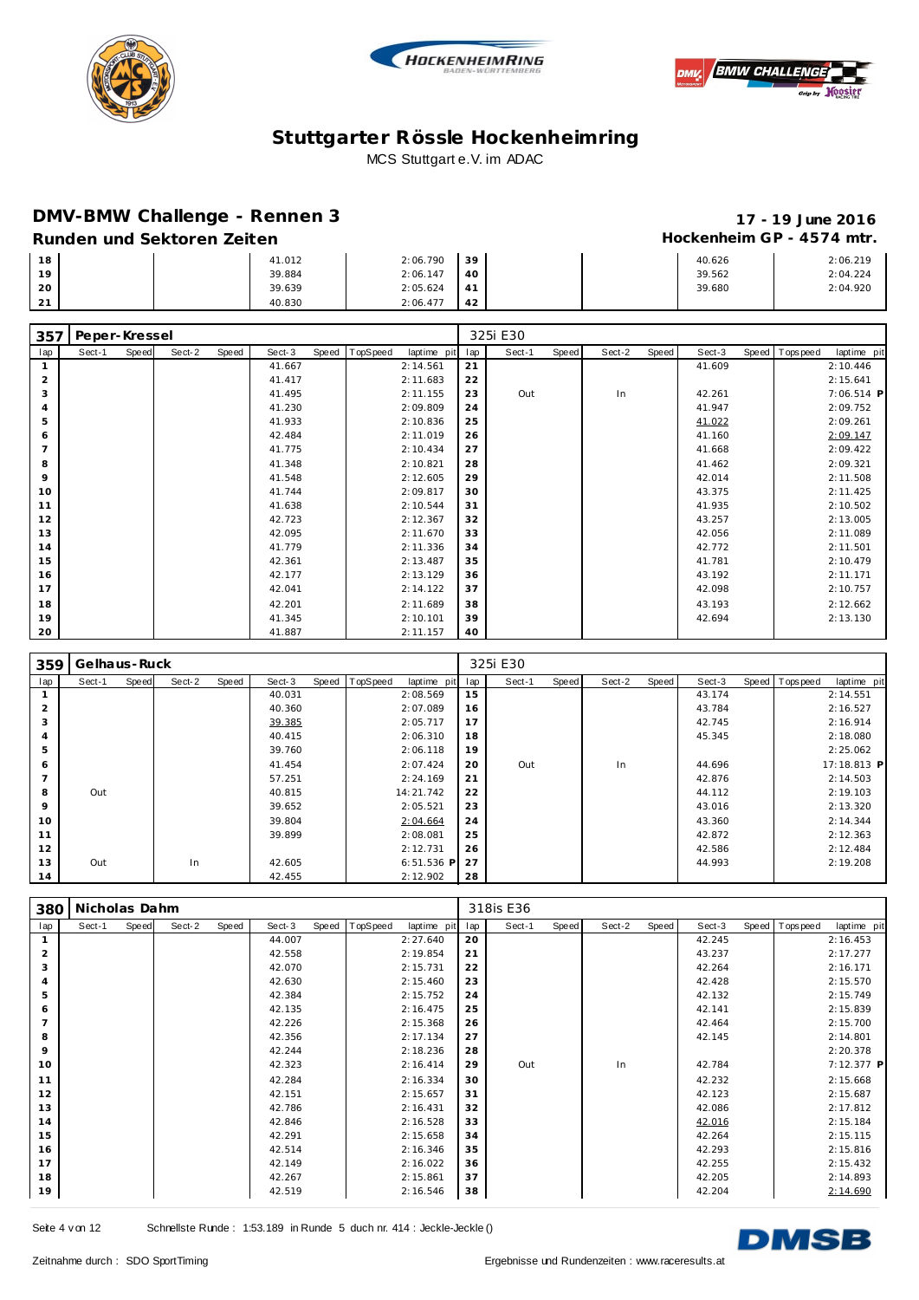





### **DMV-BMW Challenge - Rennen 3 17 - 19 June 2016**

#### Runden und Sektoren Zeiten **Munden und Sektoren Zeiten Hockenheim GP** - 4574 mtr.

| 18             | 41.012 | 2:06.790 | 39 |  | 40.626 | 2:06.219 |
|----------------|--------|----------|----|--|--------|----------|
| 10             | 39.884 | 2:06.147 | 40 |  | 39.562 | 2:04.224 |
| 20             | 39.639 | 2:05.624 | 41 |  | 39.680 | 2:04.920 |
| $\bigcap$<br>∸ | 40.830 | 2:06.477 | 42 |  |        |          |

| 357            | Peper-Kressel |       |        |       |        |       |          |             |     | 325i E30 |       |        |       |        |                |             |
|----------------|---------------|-------|--------|-------|--------|-------|----------|-------------|-----|----------|-------|--------|-------|--------|----------------|-------------|
| lap            | Sect-1        | Speed | Sect-2 | Speed | Sect-3 | Speed | TopSpeed | laptime pit | lap | Sect-1   | Speed | Sect-2 | Speed | Sect-3 | Speed Topspeed | laptime pit |
|                |               |       |        |       | 41.667 |       |          | 2:14.561    | 21  |          |       |        |       | 41.609 |                | 2:10.446    |
| $\overline{2}$ |               |       |        |       | 41.417 |       |          | 2:11.683    | 22  |          |       |        |       |        |                | 2:15.641    |
| 3              |               |       |        |       | 41.495 |       |          | 2:11.155    | 23  | Out      |       | In     |       | 42.261 |                | 7:06.514 P  |
| $\overline{4}$ |               |       |        |       | 41.230 |       |          | 2:09.809    | 24  |          |       |        |       | 41.947 |                | 2:09.752    |
| 5              |               |       |        |       | 41.933 |       |          | 2:10.836    | 25  |          |       |        |       | 41.022 |                | 2:09.261    |
| 6              |               |       |        |       | 42.484 |       |          | 2:11.019    | 26  |          |       |        |       | 41.160 |                | 2:09.147    |
| $\overline{7}$ |               |       |        |       | 41.775 |       |          | 2:10.434    | 27  |          |       |        |       | 41.668 |                | 2:09.422    |
| 8              |               |       |        |       | 41.348 |       |          | 2:10.821    | 28  |          |       |        |       | 41.462 |                | 2:09.321    |
| 9              |               |       |        |       | 41.548 |       |          | 2:12.605    | 29  |          |       |        |       | 42.014 |                | 2:11.508    |
| 10             |               |       |        |       | 41.744 |       |          | 2:09.817    | 30  |          |       |        |       | 43.375 |                | 2:11.425    |
| 11             |               |       |        |       | 41.638 |       |          | 2:10.544    | 31  |          |       |        |       | 41.935 |                | 2:10.502    |
| 12             |               |       |        |       | 42.723 |       |          | 2:12.367    | 32  |          |       |        |       | 43.257 |                | 2:13.005    |
| 13             |               |       |        |       | 42.095 |       |          | 2:11.670    | 33  |          |       |        |       | 42.056 |                | 2:11.089    |
| 14             |               |       |        |       | 41.779 |       |          | 2:11.336    | 34  |          |       |        |       | 42.772 |                | 2:11.501    |
| 15             |               |       |        |       | 42.361 |       |          | 2:13.487    | 35  |          |       |        |       | 41.781 |                | 2:10.479    |
| 16             |               |       |        |       | 42.177 |       |          | 2:13.129    | 36  |          |       |        |       | 43.192 |                | 2:11.171    |
| 17             |               |       |        |       | 42.041 |       |          | 2:14.122    | 37  |          |       |        |       | 42.098 |                | 2:10.757    |
| 18             |               |       |        |       | 42.201 |       |          | 2:11.689    | 38  |          |       |        |       | 43.193 |                | 2:12.662    |
| 19             |               |       |        |       | 41.345 |       |          | 2:10.101    | 39  |          |       |        |       | 42.694 |                | 2:13.130    |
| 20             |               |       |        |       | 41.887 |       |          | 2:11.157    | 40  |          |       |        |       |        |                |             |

| 359            | Gelhaus-Ruck |       |        |       |        |                |              |     | 325i E30 |       |        |       |        |                |             |
|----------------|--------------|-------|--------|-------|--------|----------------|--------------|-----|----------|-------|--------|-------|--------|----------------|-------------|
| lap            | Sect-1       | Speed | Sect-2 | Speed | Sect-3 | Speed TopSpeed | laptime pit  | lap | Sect-1   | Speed | Sect-2 | Speed | Sect-3 | Speed Topspeed | laptime pit |
|                |              |       |        |       | 40.031 |                | 2:08.569     | 15  |          |       |        |       | 43.174 |                | 2:14.551    |
| 2              |              |       |        |       | 40.360 |                | 2:07.089     | 16  |          |       |        |       | 43.784 |                | 2:16.527    |
| 3              |              |       |        |       | 39.385 |                | 2:05.717     | 17  |          |       |        |       | 42.745 |                | 2:16.914    |
| 4              |              |       |        |       | 40.415 |                | 2:06.310     | 18  |          |       |        |       | 45.345 |                | 2:18.080    |
| 5              |              |       |        |       | 39.760 |                | 2:06.118     | 19  |          |       |        |       |        |                | 2:25.062    |
| 6              |              |       |        |       | 41.454 |                | 2:07.424     | 20  | Out      |       | In     |       | 44.696 |                | 17:18.813 P |
| $\overline{7}$ |              |       |        |       | 57.251 |                | 2:24.169     | 21  |          |       |        |       | 42.876 |                | 2:14.503    |
| 8              | Out          |       |        |       | 40.815 |                | 14:21.742    | 22  |          |       |        |       | 44.112 |                | 2:19.103    |
| 9              |              |       |        |       | 39.652 |                | 2:05.521     | 23  |          |       |        |       | 43.016 |                | 2:13.320    |
| 10             |              |       |        |       | 39.804 |                | 2:04.664     | 24  |          |       |        |       | 43.360 |                | 2:14.344    |
| 11             |              |       |        |       | 39.899 |                | 2:08.081     | 25  |          |       |        |       | 42.872 |                | 2:12.363    |
| 12             |              |       |        |       |        |                | 2:12.731     | 26  |          |       |        |       | 42.586 |                | 2:12.484    |
| 13             | Out          |       | In     |       | 42.605 |                | $6:51.536$ P | 27  |          |       |        |       | 44.993 |                | 2:19.208    |
| 14             |              |       |        |       | 42.455 |                | 2:12.902     | 28  |          |       |        |       |        |                |             |

| 380            | Nicholas Dahm |       |        |       |        |       |          |             |     | 318is E36 |       |        |       |        |                |             |
|----------------|---------------|-------|--------|-------|--------|-------|----------|-------------|-----|-----------|-------|--------|-------|--------|----------------|-------------|
| lap            | Sect-1        | Speed | Sect-2 | Speed | Sect-3 | Speed | TopSpeed | laptime pit | lap | Sect-1    | Speed | Sect-2 | Speed | Sect-3 | Speed Topspeed | laptime pit |
|                |               |       |        |       | 44.007 |       |          | 2:27.640    | 20  |           |       |        |       | 42.245 |                | 2:16.453    |
| $\overline{2}$ |               |       |        |       | 42.558 |       |          | 2:19.854    | 21  |           |       |        |       | 43.237 |                | 2:17.277    |
| 3              |               |       |        |       | 42.070 |       |          | 2:15.731    | 22  |           |       |        |       | 42.264 |                | 2:16.171    |
| $\overline{A}$ |               |       |        |       | 42.630 |       |          | 2:15.460    | 23  |           |       |        |       | 42.428 |                | 2:15.570    |
| 5              |               |       |        |       | 42.384 |       |          | 2:15.752    | 24  |           |       |        |       | 42.132 |                | 2:15.749    |
| 6              |               |       |        |       | 42.135 |       |          | 2:16.475    | 25  |           |       |        |       | 42.141 |                | 2:15.839    |
| $\overline{7}$ |               |       |        |       | 42.226 |       |          | 2:15.368    | 26  |           |       |        |       | 42.464 |                | 2:15.700    |
| 8              |               |       |        |       | 42.356 |       |          | 2:17.134    | 27  |           |       |        |       | 42.145 |                | 2:14.801    |
| 9              |               |       |        |       | 42.244 |       |          | 2:18.236    | 28  |           |       |        |       |        |                | 2:20.378    |
| 10             |               |       |        |       | 42.323 |       |          | 2:16.414    | 29  | Out       |       | In     |       | 42.784 |                | 7:12.377 P  |
| 11             |               |       |        |       | 42.284 |       |          | 2:16.334    | 30  |           |       |        |       | 42.232 |                | 2:15.668    |
| 12             |               |       |        |       | 42.151 |       |          | 2:15.657    | 31  |           |       |        |       | 42.123 |                | 2:15.687    |
| 13             |               |       |        |       | 42.786 |       |          | 2:16.431    | 32  |           |       |        |       | 42.086 |                | 2:17.812    |
| 14             |               |       |        |       | 42.846 |       |          | 2:16.528    | 33  |           |       |        |       | 42.016 |                | 2:15.184    |
| 15             |               |       |        |       | 42.291 |       |          | 2:15.658    | 34  |           |       |        |       | 42.264 |                | 2:15.115    |
| 16             |               |       |        |       | 42.514 |       |          | 2:16.346    | 35  |           |       |        |       | 42.293 |                | 2:15.816    |
| 17             |               |       |        |       | 42.149 |       |          | 2:16.022    | 36  |           |       |        |       | 42.255 |                | 2:15.432    |
| 18             |               |       |        |       | 42.267 |       |          | 2:15.861    | 37  |           |       |        |       | 42.205 |                | 2:14.893    |
| 19             |               |       |        |       | 42.519 |       |          | 2:16.546    | 38  |           |       |        |       | 42.204 |                | 2:14.690    |

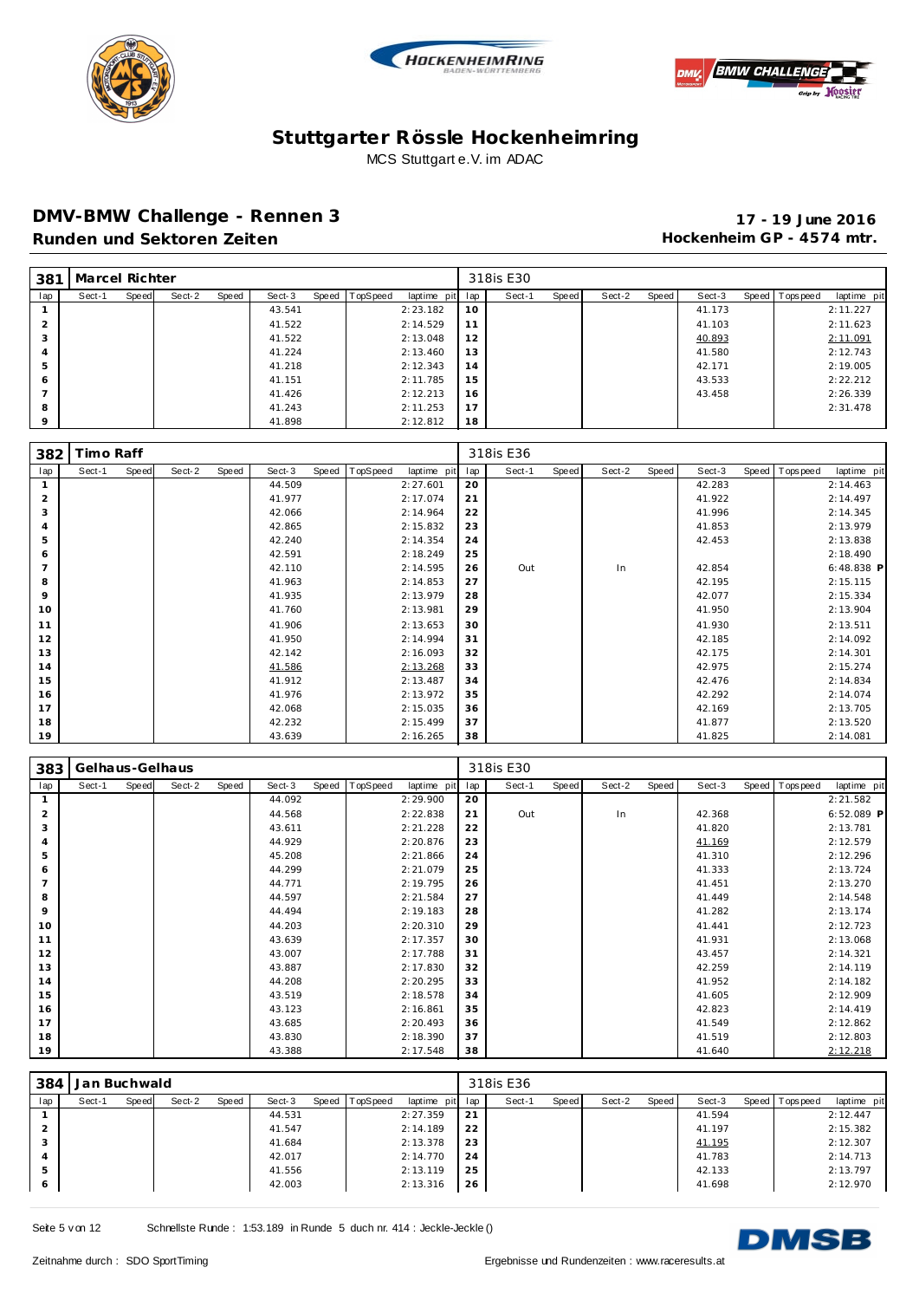





#### **DMV-BMW Challenge - Rennen 3 17 - 19 June 2016** Runden und Sektoren Zeiten **Munden und Sektoren Zeiten Hockenheim GP** - 4574 mtr.

| 381      | Marcel Richter |       |        |       |        |       |          |                 |    | 318is E30 |       |        |       |        |                |             |
|----------|----------------|-------|--------|-------|--------|-------|----------|-----------------|----|-----------|-------|--------|-------|--------|----------------|-------------|
| lap      | Sect-1         | Speed | Sect-2 | Speed | Sect-3 | Speed | TopSpeed | laptime pit lap |    | Sect-1    | Speed | Sect-2 | Speed | Sect-3 | Speed Topspeed | laptime pit |
|          |                |       |        |       | 43.541 |       |          | 2:23.182        | 10 |           |       |        |       | 41.173 |                | 2:11.227    |
|          |                |       |        |       | 41.522 |       |          | 2:14.529        | 11 |           |       |        |       | 41.103 |                | 2:11.623    |
|          |                |       |        |       | 41.522 |       |          | 2:13.048        | 12 |           |       |        |       | 40.893 |                | 2:11.091    |
|          |                |       |        |       | 41.224 |       |          | 2:13.460        | 13 |           |       |        |       | 41.580 |                | 2:12.743    |
|          |                |       |        |       | 41.218 |       |          | 2:12.343        | 14 |           |       |        |       | 42.171 |                | 2:19.005    |
| 6        |                |       |        |       | 41.151 |       |          | 2:11.785        | 15 |           |       |        |       | 43.533 |                | 2:22.212    |
|          |                |       |        |       | 41.426 |       |          | 2:12.213        | 16 |           |       |        |       | 43.458 |                | 2:26.339    |
| 8        |                |       |        |       | 41.243 |       |          | 2:11.253        | 17 |           |       |        |       |        |                | 2:31.478    |
| $\Omega$ |                |       |        |       | 41.898 |       |          | 2:12.812        | 18 |           |       |        |       |        |                |             |

| 382            | Timo Raff |       |        |       |        |       |          |             |     | 318is E36 |       |        |       |        |                |              |
|----------------|-----------|-------|--------|-------|--------|-------|----------|-------------|-----|-----------|-------|--------|-------|--------|----------------|--------------|
| lap            | Sect-1    | Speed | Sect-2 | Speed | Sect-3 | Speed | TopSpeed | laptime pit | lap | Sect-1    | Speed | Sect-2 | Speed | Sect-3 | Speed Topspeed | laptime pit  |
|                |           |       |        |       | 44.509 |       |          | 2:27.601    | 20  |           |       |        |       | 42.283 |                | 2:14.463     |
| $\overline{2}$ |           |       |        |       | 41.977 |       |          | 2:17.074    | 21  |           |       |        |       | 41.922 |                | 2:14.497     |
| 3              |           |       |        |       | 42.066 |       |          | 2:14.964    | 22  |           |       |        |       | 41.996 |                | 2:14.345     |
| $\overline{4}$ |           |       |        |       | 42.865 |       |          | 2:15.832    | 23  |           |       |        |       | 41.853 |                | 2:13.979     |
| 5              |           |       |        |       | 42.240 |       |          | 2:14.354    | 24  |           |       |        |       | 42.453 |                | 2:13.838     |
| 6              |           |       |        |       | 42.591 |       |          | 2:18.249    | 25  |           |       |        |       |        |                | 2:18.490     |
| $\overline{7}$ |           |       |        |       | 42.110 |       |          | 2:14.595    | 26  | Out       |       | In     |       | 42.854 |                | $6:48.838$ P |
| 8              |           |       |        |       | 41.963 |       |          | 2:14.853    | 27  |           |       |        |       | 42.195 |                | 2:15.115     |
| 9              |           |       |        |       | 41.935 |       |          | 2:13.979    | 28  |           |       |        |       | 42.077 |                | 2:15.334     |
| 10             |           |       |        |       | 41.760 |       |          | 2:13.981    | 29  |           |       |        |       | 41.950 |                | 2:13.904     |
| 11             |           |       |        |       | 41.906 |       |          | 2:13.653    | 30  |           |       |        |       | 41.930 |                | 2:13.511     |
| 12             |           |       |        |       | 41.950 |       |          | 2:14.994    | 31  |           |       |        |       | 42.185 |                | 2:14.092     |
| 13             |           |       |        |       | 42.142 |       |          | 2:16.093    | 32  |           |       |        |       | 42.175 |                | 2:14.301     |
| 14             |           |       |        |       | 41.586 |       |          | 2:13.268    | 33  |           |       |        |       | 42.975 |                | 2:15.274     |
| 15             |           |       |        |       | 41.912 |       |          | 2:13.487    | 34  |           |       |        |       | 42.476 |                | 2:14.834     |
| 16             |           |       |        |       | 41.976 |       |          | 2:13.972    | 35  |           |       |        |       | 42.292 |                | 2:14.074     |
| 17             |           |       |        |       | 42.068 |       |          | 2:15.035    | 36  |           |       |        |       | 42.169 |                | 2:13.705     |
| 18             |           |       |        |       | 42.232 |       |          | 2:15.499    | 37  |           |       |        |       | 41.877 |                | 2:13.520     |
| 19             |           |       |        |       | 43.639 |       |          | 2:16.265    | 38  |           |       |        |       | 41.825 |                | 2:14.081     |

| 383            | Gelhaus-Gelhaus |       |        |       |        |       |          |             |     | 318is E30 |       |        |       |        |       |            |              |
|----------------|-----------------|-------|--------|-------|--------|-------|----------|-------------|-----|-----------|-------|--------|-------|--------|-------|------------|--------------|
| lap            | Sect-1          | Speed | Sect-2 | Speed | Sect-3 | Speed | TopSpeed | laptime pit | lap | Sect-1    | Speed | Sect-2 | Speed | Sect-3 | Speed | T ops peed | laptime pit  |
| $\overline{1}$ |                 |       |        |       | 44.092 |       |          | 2:29.900    | 20  |           |       |        |       |        |       |            | 2:21.582     |
| $\overline{2}$ |                 |       |        |       | 44.568 |       |          | 2:22.838    | 21  | Out       |       | In     |       | 42.368 |       |            | $6:52.089$ P |
| 3              |                 |       |        |       | 43.611 |       |          | 2:21.228    | 22  |           |       |        |       | 41.820 |       |            | 2:13.781     |
| $\overline{4}$ |                 |       |        |       | 44.929 |       |          | 2:20.876    | 23  |           |       |        |       | 41.169 |       |            | 2:12.579     |
| 5              |                 |       |        |       | 45.208 |       |          | 2:21.866    | 24  |           |       |        |       | 41.310 |       |            | 2:12.296     |
| 6              |                 |       |        |       | 44.299 |       |          | 2:21.079    | 25  |           |       |        |       | 41.333 |       |            | 2:13.724     |
|                |                 |       |        |       | 44.771 |       |          | 2:19.795    | 26  |           |       |        |       | 41.451 |       |            | 2:13.270     |
| 8              |                 |       |        |       | 44.597 |       |          | 2:21.584    | 27  |           |       |        |       | 41.449 |       |            | 2:14.548     |
| 9              |                 |       |        |       | 44.494 |       |          | 2:19.183    | 28  |           |       |        |       | 41.282 |       |            | 2:13.174     |
| 10             |                 |       |        |       | 44.203 |       |          | 2:20.310    | 29  |           |       |        |       | 41.441 |       |            | 2:12.723     |
| 11             |                 |       |        |       | 43.639 |       |          | 2:17.357    | 30  |           |       |        |       | 41.931 |       |            | 2:13.068     |
| 12             |                 |       |        |       | 43.007 |       |          | 2:17.788    | 31  |           |       |        |       | 43.457 |       |            | 2:14.321     |
| 13             |                 |       |        |       | 43.887 |       |          | 2:17.830    | 32  |           |       |        |       | 42.259 |       |            | 2:14.119     |
| 14             |                 |       |        |       | 44.208 |       |          | 2:20.295    | 33  |           |       |        |       | 41.952 |       |            | 2:14.182     |
| 15             |                 |       |        |       | 43.519 |       |          | 2:18.578    | 34  |           |       |        |       | 41.605 |       |            | 2:12.909     |
| 16             |                 |       |        |       | 43.123 |       |          | 2:16.861    | 35  |           |       |        |       | 42.823 |       |            | 2:14.419     |
| 17             |                 |       |        |       | 43.685 |       |          | 2:20.493    | 36  |           |       |        |       | 41.549 |       |            | 2:12.862     |
| 18             |                 |       |        |       | 43.830 |       |          | 2:18.390    | 37  |           |       |        |       | 41.519 |       |            | 2:12.803     |
| 19             |                 |       |        |       | 43.388 |       |          | 2:17.548    | 38  |           |       |        |       | 41.640 |       |            | 2:12.218     |

| 384            | Jan Buchwald |       |        |       |        |                |                 |    | 318is E36 |       |        |       |        |                |             |
|----------------|--------------|-------|--------|-------|--------|----------------|-----------------|----|-----------|-------|--------|-------|--------|----------------|-------------|
| lap            | Sect-1       | Speed | Sect-2 | Speed | Sect-3 | Speed TopSpeed | laptime pit lap |    | Sect-1    | Speed | Sect-2 | Speed | Sect-3 | Speed Topspeed | laptime pit |
|                |              |       |        |       | 44.531 |                | 2:27.359        | 21 |           |       |        |       | 41.594 |                | 2:12.447    |
| 2              |              |       |        |       | 41.547 |                | 2:14.189        | 22 |           |       |        |       | 41.197 |                | 2:15.382    |
| 3              |              |       |        |       | 41.684 |                | 2:13.378        | 23 |           |       |        |       | 41.195 |                | 2:12.307    |
| $\overline{4}$ |              |       |        |       | 42.017 |                | 2:14.770        | 24 |           |       |        |       | 41.783 |                | 2:14.713    |
| 5              |              |       |        |       | 41.556 |                | 2:13.119        | 25 |           |       |        |       | 42.133 |                | 2:13.797    |
| 6              |              |       |        |       | 42.003 |                | 2:13.316        | 26 |           |       |        |       | 41.698 |                | 2:12.970    |

Seite 5 v on 12 Schnellste Runde : 1:53.189 in Runde 5 duch nr. 414 : Jeckle-Jeckle ()

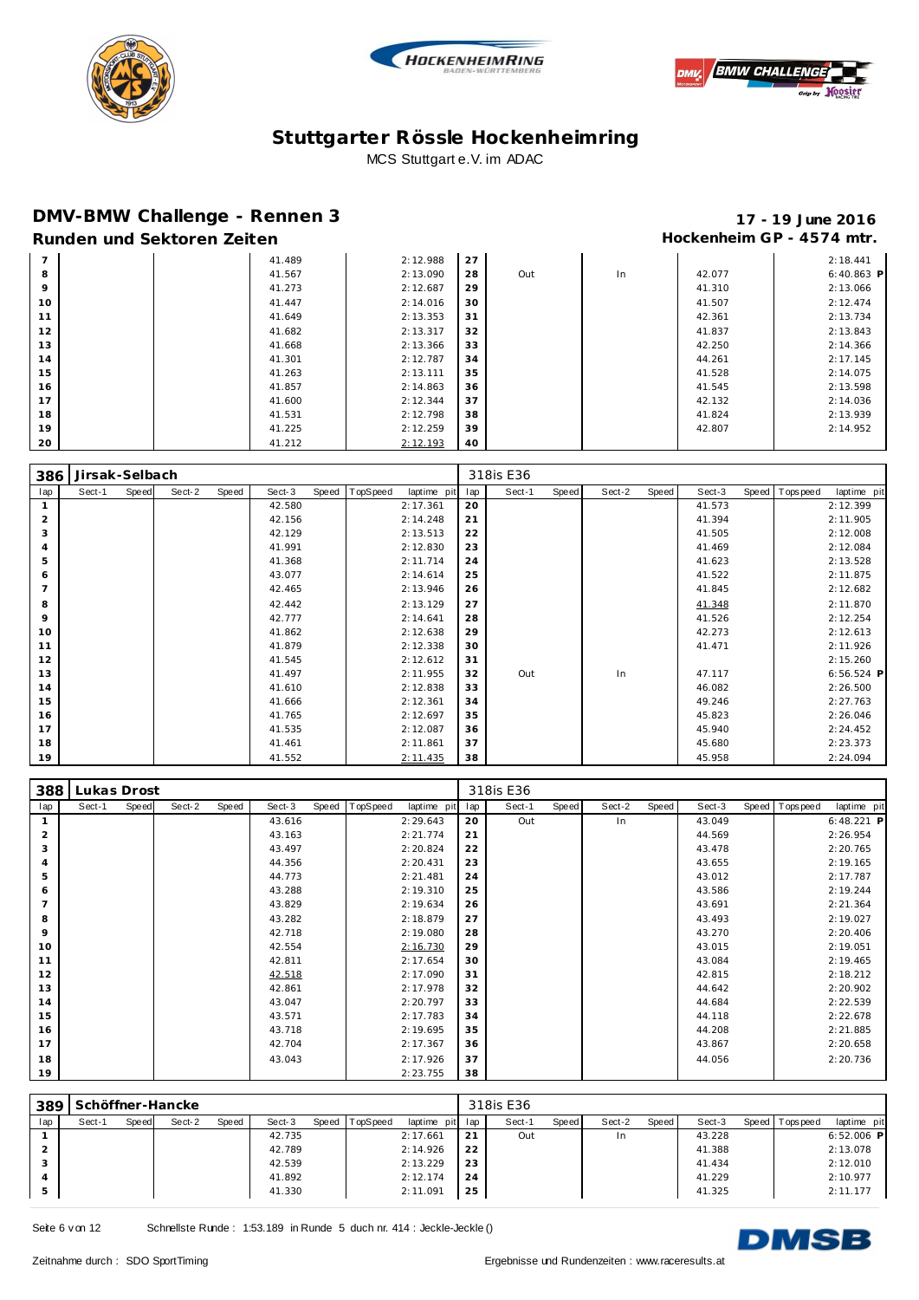





### **DMV-BMW Challenge - Rennen 3 17 - 19 June 2016**

# Runden und Sektoren Zeiten **Munden und Sektoren Zeiten Hockenheim GP** - 4574 mtr.

| $\overline{7}$  |  | 41.489 | 2:12.988 | 27 |     |    |        | 2:18.441     |
|-----------------|--|--------|----------|----|-----|----|--------|--------------|
| 8               |  | 41.567 | 2:13.090 | 28 | Out | In | 42.077 | $6:40.863$ P |
| 9               |  | 41.273 | 2:12.687 | 29 |     |    | 41.310 | 2:13.066     |
| 10              |  | 41.447 | 2:14.016 | 30 |     |    | 41.507 | 2:12.474     |
| 11<br><b>II</b> |  | 41.649 | 2:13.353 | 31 |     |    | 42.361 | 2:13.734     |
| 12              |  | 41.682 | 2:13.317 | 32 |     |    | 41.837 | 2:13.843     |
| 13              |  | 41.668 | 2:13.366 | 33 |     |    | 42.250 | 2:14.366     |
| 14              |  | 41.301 | 2:12.787 | 34 |     |    | 44.261 | 2:17.145     |
| 15              |  | 41.263 | 2:13.111 | 35 |     |    | 41.528 | 2:14.075     |
| 16              |  | 41.857 | 2:14.863 | 36 |     |    | 41.545 | 2:13.598     |
| 17              |  | 41.600 | 2:12.344 | 37 |     |    | 42.132 | 2:14.036     |
| 18              |  | 41.531 | 2:12.798 | 38 |     |    | 41.824 | 2:13.939     |
| 19              |  | 41.225 | 2:12.259 | 39 |     |    | 42.807 | 2:14.952     |
| 20              |  | 41.212 | 2:12.193 | 40 |     |    |        |              |

| 386            | Jirsak-Selbach |       |        |       |        |       |          |             |     | 318is E36 |       |        |       |        |                |             |
|----------------|----------------|-------|--------|-------|--------|-------|----------|-------------|-----|-----------|-------|--------|-------|--------|----------------|-------------|
| lap            | Sect-1         | Speed | Sect-2 | Speed | Sect-3 | Speed | TopSpeed | laptime pit | lap | Sect-1    | Speed | Sect-2 | Speed | Sect-3 | Speed Topspeed | laptime pit |
|                |                |       |        |       | 42.580 |       |          | 2:17.361    | 20  |           |       |        |       | 41.573 |                | 2:12.399    |
| 2              |                |       |        |       | 42.156 |       |          | 2:14.248    | 21  |           |       |        |       | 41.394 |                | 2:11.905    |
| 3              |                |       |        |       | 42.129 |       |          | 2:13.513    | 22  |           |       |        |       | 41.505 |                | 2:12.008    |
| $\overline{4}$ |                |       |        |       | 41.991 |       |          | 2:12.830    | 23  |           |       |        |       | 41.469 |                | 2:12.084    |
| 5              |                |       |        |       | 41.368 |       |          | 2:11.714    | 24  |           |       |        |       | 41.623 |                | 2:13.528    |
| 6              |                |       |        |       | 43.077 |       |          | 2:14.614    | 25  |           |       |        |       | 41.522 |                | 2:11.875    |
| $\overline{7}$ |                |       |        |       | 42.465 |       |          | 2:13.946    | 26  |           |       |        |       | 41.845 |                | 2:12.682    |
| 8              |                |       |        |       | 42.442 |       |          | 2:13.129    | 27  |           |       |        |       | 41.348 |                | 2:11.870    |
| 9              |                |       |        |       | 42.777 |       |          | 2:14.641    | 28  |           |       |        |       | 41.526 |                | 2:12.254    |
| 10             |                |       |        |       | 41.862 |       |          | 2:12.638    | 29  |           |       |        |       | 42.273 |                | 2:12.613    |
| 11             |                |       |        |       | 41.879 |       |          | 2:12.338    | 30  |           |       |        |       | 41.471 |                | 2:11.926    |
| 12             |                |       |        |       | 41.545 |       |          | 2:12.612    | 31  |           |       |        |       |        |                | 2:15.260    |
| 13             |                |       |        |       | 41.497 |       |          | 2:11.955    | 32  | Out       |       | In     |       | 47.117 |                | 6:56.524 P  |
| 14             |                |       |        |       | 41.610 |       |          | 2:12.838    | 33  |           |       |        |       | 46.082 |                | 2:26.500    |
| 15             |                |       |        |       | 41.666 |       |          | 2:12.361    | 34  |           |       |        |       | 49.246 |                | 2:27.763    |
| 16             |                |       |        |       | 41.765 |       |          | 2:12.697    | 35  |           |       |        |       | 45.823 |                | 2:26.046    |
| 17             |                |       |        |       | 41.535 |       |          | 2:12.087    | 36  |           |       |        |       | 45.940 |                | 2:24.452    |
| 18             |                |       |        |       | 41.461 |       |          | 2:11.861    | 37  |           |       |        |       | 45.680 |                | 2:23.373    |
| 19             |                |       |        |       | 41.552 |       |          | 2:11.435    | 38  |           |       |        |       | 45.958 |                | 2:24.094    |

| 388            | Lukas Drost |       |        |       |        |       |          |             |     | 318is E36 |       |        |       |        |                |              |
|----------------|-------------|-------|--------|-------|--------|-------|----------|-------------|-----|-----------|-------|--------|-------|--------|----------------|--------------|
| lap            | Sect-1      | Speed | Sect-2 | Speed | Sect-3 | Speed | TopSpeed | laptime pit | lap | Sect-1    | Speed | Sect-2 | Speed | Sect-3 | Speed Topspeed | laptime pit  |
| $\mathbf{1}$   |             |       |        |       | 43.616 |       |          | 2:29.643    | 20  | Out       |       | In     |       | 43.049 |                | $6:48.221$ P |
| $\overline{2}$ |             |       |        |       | 43.163 |       |          | 2:21.774    | 21  |           |       |        |       | 44.569 |                | 2:26.954     |
| 3              |             |       |        |       | 43.497 |       |          | 2:20.824    | 22  |           |       |        |       | 43.478 |                | 2:20.765     |
| $\overline{4}$ |             |       |        |       | 44.356 |       |          | 2:20.431    | 23  |           |       |        |       | 43.655 |                | 2:19.165     |
| 5              |             |       |        |       | 44.773 |       |          | 2:21.481    | 24  |           |       |        |       | 43.012 |                | 2:17.787     |
| 6              |             |       |        |       | 43.288 |       |          | 2:19.310    | 25  |           |       |        |       | 43.586 |                | 2:19.244     |
|                |             |       |        |       | 43.829 |       |          | 2:19.634    | 26  |           |       |        |       | 43.691 |                | 2:21.364     |
| 8              |             |       |        |       | 43.282 |       |          | 2:18.879    | 27  |           |       |        |       | 43.493 |                | 2:19.027     |
| 9              |             |       |        |       | 42.718 |       |          | 2:19.080    | 28  |           |       |        |       | 43.270 |                | 2:20.406     |
| 10             |             |       |        |       | 42.554 |       |          | 2:16.730    | 29  |           |       |        |       | 43.015 |                | 2:19.051     |
| 11             |             |       |        |       | 42.811 |       |          | 2:17.654    | 30  |           |       |        |       | 43.084 |                | 2:19.465     |
| 12             |             |       |        |       | 42.518 |       |          | 2:17.090    | 31  |           |       |        |       | 42.815 |                | 2:18.212     |
| 13             |             |       |        |       | 42.861 |       |          | 2:17.978    | 32  |           |       |        |       | 44.642 |                | 2:20.902     |
| 14             |             |       |        |       | 43.047 |       |          | 2:20.797    | 33  |           |       |        |       | 44.684 |                | 2:22.539     |
| 15             |             |       |        |       | 43.571 |       |          | 2:17.783    | 34  |           |       |        |       | 44.118 |                | 2:22.678     |
| 16             |             |       |        |       | 43.718 |       |          | 2:19.695    | 35  |           |       |        |       | 44.208 |                | 2:21.885     |
| 17             |             |       |        |       | 42.704 |       |          | 2:17.367    | 36  |           |       |        |       | 43.867 |                | 2:20.658     |
| 18             |             |       |        |       | 43.043 |       |          | 2:17.926    | 37  |           |       |        |       | 44.056 |                | 2:20.736     |
| 19             |             |       |        |       |        |       |          | 2:23.755    | 38  |           |       |        |       |        |                |              |

| 389           |        |       | Schöffner-Hancke |       |        |       |                 |                 |    | 318is E36 |       |        |       |        |                |              |
|---------------|--------|-------|------------------|-------|--------|-------|-----------------|-----------------|----|-----------|-------|--------|-------|--------|----------------|--------------|
| lap           | Sect-1 | Speed | Sect-2           | Speed | Sect-3 | Speed | <b>TopSpeed</b> | laptime pit lap |    | Sect-1    | Speed | Sect-2 | Speed | Sect-3 | Speed Topspeed | laptime pit  |
|               |        |       |                  |       | 42.735 |       |                 | 2:17.661        | 21 | Out       |       | In     |       | 43.228 |                | $6:52.006$ P |
| $\mathcal{P}$ |        |       |                  |       | 42.789 |       |                 | 2:14.926        | 22 |           |       |        |       | 41.388 |                | 2:13.078     |
| 3             |        |       |                  |       | 42.539 |       |                 | 2:13.229        | 23 |           |       |        |       | 41.434 |                | 2:12.010     |
|               |        |       |                  |       | 41.892 |       |                 | 2:12.174        | 24 |           |       |        |       | 41.229 |                | 2:10.977     |
| 5             |        |       |                  |       | 41.330 |       |                 | 2:11.091        | 25 |           |       |        |       | 41.325 |                | 2:11.177     |

Seite 6 v on 12 Schnellste Runde : 1:53.189 in Runde 5 duch nr. 414 : Jeckle-Jeckle ()

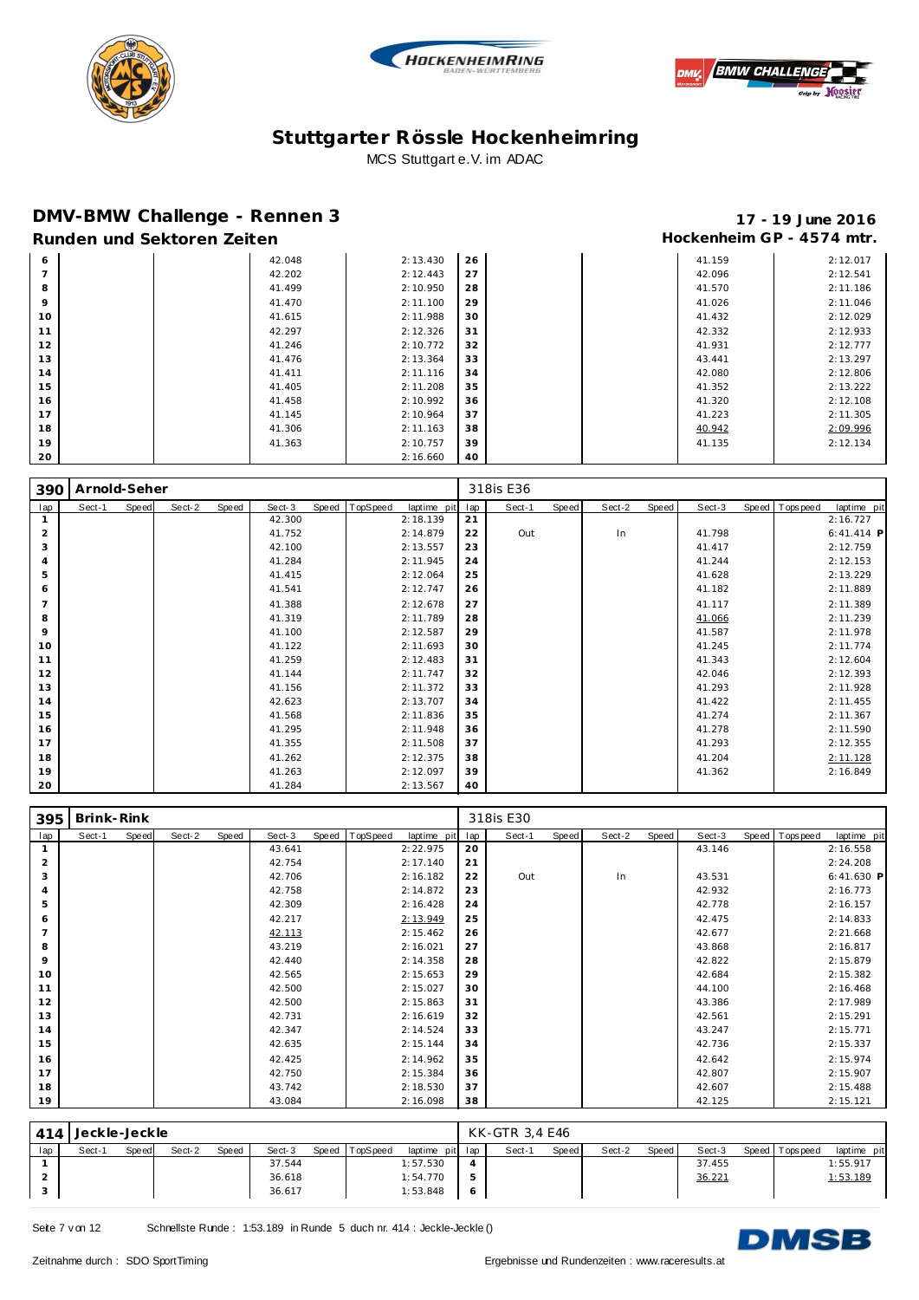





### **DMV-BMW Challenge - Rennen 3 17 - 19 June 2016**

# Runden und Sektoren Zeiten **Munden und Sektoren Zeiten Hockenheim GP** - 4574 mtr.

| 6              | 42.048 | 2:13.430 | 26 |  | 41.159 | 2:12.017 |
|----------------|--------|----------|----|--|--------|----------|
| $\overline{7}$ | 42.202 | 2:12.443 | 27 |  | 42.096 | 2:12.541 |
| 8              | 41.499 | 2:10.950 | 28 |  | 41.570 | 2:11.186 |
| 9              | 41.470 | 2:11.100 | 29 |  | 41.026 | 2:11.046 |
| 10             | 41.615 | 2:11.988 | 30 |  | 41.432 | 2:12.029 |
| 11             | 42.297 | 2:12.326 | 31 |  | 42.332 | 2:12.933 |
| 12             | 41.246 | 2:10.772 | 32 |  | 41.931 | 2:12.777 |
| 13             | 41.476 | 2:13.364 | 33 |  | 43.441 | 2:13.297 |
| 14             | 41.411 | 2:11.116 | 34 |  | 42.080 | 2:12.806 |
| 15             | 41.405 | 2:11.208 | 35 |  | 41.352 | 2:13.222 |
| 16             | 41.458 | 2:10.992 | 36 |  | 41.320 | 2:12.108 |
| 17             | 41.145 | 2:10.964 | 37 |  | 41.223 | 2:11.305 |
| 18             | 41.306 | 2:11.163 | 38 |  | 40.942 | 2:09.996 |
| 19             | 41.363 | 2:10.757 | 39 |  | 41.135 | 2:12.134 |
| 20             |        | 2:16.660 | 40 |  |        |          |

| 390            | Arnold-Seher |       |        |       |        |       |          |             |     | 318is E36 |       |        |       |        |                |              |
|----------------|--------------|-------|--------|-------|--------|-------|----------|-------------|-----|-----------|-------|--------|-------|--------|----------------|--------------|
| lap            | Sect-1       | Speed | Sect-2 | Speed | Sect-3 | Speed | TopSpeed | laptime pit | lap | Sect-1    | Speed | Sect-2 | Speed | Sect-3 | Speed Topspeed | laptime pit  |
|                |              |       |        |       | 42.300 |       |          | 2:18.139    | 21  |           |       |        |       |        |                | 2:16.727     |
| $\overline{2}$ |              |       |        |       | 41.752 |       |          | 2:14.879    | 22  | Out       |       | In     |       | 41.798 |                | $6:41.414$ P |
| 3              |              |       |        |       | 42.100 |       |          | 2:13.557    | 23  |           |       |        |       | 41.417 |                | 2:12.759     |
| $\overline{4}$ |              |       |        |       | 41.284 |       |          | 2:11.945    | 24  |           |       |        |       | 41.244 |                | 2:12.153     |
| 5              |              |       |        |       | 41.415 |       |          | 2:12.064    | 25  |           |       |        |       | 41.628 |                | 2:13.229     |
| 6              |              |       |        |       | 41.541 |       |          | 2:12.747    | 26  |           |       |        |       | 41.182 |                | 2:11.889     |
| $\overline{7}$ |              |       |        |       | 41.388 |       |          | 2:12.678    | 27  |           |       |        |       | 41.117 |                | 2:11.389     |
| 8              |              |       |        |       | 41.319 |       |          | 2:11.789    | 28  |           |       |        |       | 41.066 |                | 2:11.239     |
| 9              |              |       |        |       | 41.100 |       |          | 2:12.587    | 29  |           |       |        |       | 41.587 |                | 2:11.978     |
| 10             |              |       |        |       | 41.122 |       |          | 2:11.693    | 30  |           |       |        |       | 41.245 |                | 2:11.774     |
| 11             |              |       |        |       | 41.259 |       |          | 2:12.483    | 31  |           |       |        |       | 41.343 |                | 2:12.604     |
| 12             |              |       |        |       | 41.144 |       |          | 2:11.747    | 32  |           |       |        |       | 42.046 |                | 2:12.393     |
| 13             |              |       |        |       | 41.156 |       |          | 2:11.372    | 33  |           |       |        |       | 41.293 |                | 2:11.928     |
| 14             |              |       |        |       | 42.623 |       |          | 2:13.707    | 34  |           |       |        |       | 41.422 |                | 2:11.455     |
| 15             |              |       |        |       | 41.568 |       |          | 2:11.836    | 35  |           |       |        |       | 41.274 |                | 2:11.367     |
| 16             |              |       |        |       | 41.295 |       |          | 2:11.948    | 36  |           |       |        |       | 41.278 |                | 2:11.590     |
| 17             |              |       |        |       | 41.355 |       |          | 2:11.508    | 37  |           |       |        |       | 41.293 |                | 2:12.355     |
| 18             |              |       |        |       | 41.262 |       |          | 2:12.375    | 38  |           |       |        |       | 41.204 |                | 2:11.128     |
| 19             |              |       |        |       | 41.263 |       |          | 2:12.097    | 39  |           |       |        |       | 41.362 |                | 2:16.849     |
| 20             |              |       |        |       | 41.284 |       |          | 2:13.567    | 40  |           |       |        |       |        |                |              |

| 395            | Brink-Rink |       |        |       |        |       |          |             |     | 318is E30 |       |        |       |        |                |              |
|----------------|------------|-------|--------|-------|--------|-------|----------|-------------|-----|-----------|-------|--------|-------|--------|----------------|--------------|
| lap            | Sect-1     | Speed | Sect-2 | Speed | Sect-3 | Speed | TopSpeed | laptime pit | lap | Sect-1    | Speed | Sect-2 | Speed | Sect-3 | Speed Topspeed | laptime pit  |
| $\mathbf{1}$   |            |       |        |       | 43.641 |       |          | 2:22.975    | 20  |           |       |        |       | 43.146 |                | 2:16.558     |
| $\overline{2}$ |            |       |        |       | 42.754 |       |          | 2:17.140    | 21  |           |       |        |       |        |                | 2:24.208     |
| 3              |            |       |        |       | 42.706 |       |          | 2:16.182    | 22  | Out       |       | In     |       | 43.531 |                | $6:41.630$ P |
| 4              |            |       |        |       | 42.758 |       |          | 2:14.872    | 23  |           |       |        |       | 42.932 |                | 2:16.773     |
| 5              |            |       |        |       | 42.309 |       |          | 2:16.428    | 24  |           |       |        |       | 42.778 |                | 2:16.157     |
| 6              |            |       |        |       | 42.217 |       |          | 2:13.949    | 25  |           |       |        |       | 42.475 |                | 2:14.833     |
| $\overline{7}$ |            |       |        |       | 42.113 |       |          | 2:15.462    | 26  |           |       |        |       | 42.677 |                | 2:21.668     |
| 8              |            |       |        |       | 43.219 |       |          | 2:16.021    | 27  |           |       |        |       | 43.868 |                | 2:16.817     |
| 9              |            |       |        |       | 42.440 |       |          | 2:14.358    | 28  |           |       |        |       | 42.822 |                | 2:15.879     |
| 10             |            |       |        |       | 42.565 |       |          | 2:15.653    | 29  |           |       |        |       | 42.684 |                | 2:15.382     |
| 11             |            |       |        |       | 42.500 |       |          | 2:15.027    | 30  |           |       |        |       | 44.100 |                | 2:16.468     |
| 12             |            |       |        |       | 42.500 |       |          | 2:15.863    | 31  |           |       |        |       | 43.386 |                | 2:17.989     |
| 13             |            |       |        |       | 42.731 |       |          | 2:16.619    | 32  |           |       |        |       | 42.561 |                | 2:15.291     |
| 14             |            |       |        |       | 42.347 |       |          | 2:14.524    | 33  |           |       |        |       | 43.247 |                | 2:15.771     |
| 15             |            |       |        |       | 42.635 |       |          | 2:15.144    | 34  |           |       |        |       | 42.736 |                | 2:15.337     |
| 16             |            |       |        |       | 42.425 |       |          | 2:14.962    | 35  |           |       |        |       | 42.642 |                | 2:15.974     |
| 17             |            |       |        |       | 42.750 |       |          | 2:15.384    | 36  |           |       |        |       | 42.807 |                | 2:15.907     |
| 18             |            |       |        |       | 43.742 |       |          | 2:18.530    | 37  |           |       |        |       | 42.607 |                | 2:15.488     |
| 19             |            |       |        |       | 43.084 |       |          | 2:16.098    | 38  |           |       |        |       | 42.125 |                | 2:15.121     |

| 414 | Jeckle-Jeckle |              |        |       |        |                |                 |     | KK-GTR 3.4 E46 |       |        |         |        |                 |             |
|-----|---------------|--------------|--------|-------|--------|----------------|-----------------|-----|----------------|-------|--------|---------|--------|-----------------|-------------|
| lap | Sect-1        | <b>Speed</b> | Sect-2 | Speed | Sect-3 | Speed TopSpeed | laptime pit lap |     | Sect-1         | Speed | Sect-2 | Speed I | Sect-3 | Speed Tops peed | laptime pit |
|     |               |              |        |       | 37.544 |                | 1:57.530        |     |                |       |        |         | 37.455 |                 | 1:55.917    |
|     |               |              |        |       | 36.618 |                | 1:54.770        | 5   |                |       |        |         | 36.221 |                 | 1:53.189    |
|     |               |              |        |       | 36.617 |                | 1:53.848        | - 6 |                |       |        |         |        |                 |             |

Seite 7 v on 12 Schnellste Runde : 1:53.189 in Runde 5 duch nr. 414 : Jeckle-Jeckle ()

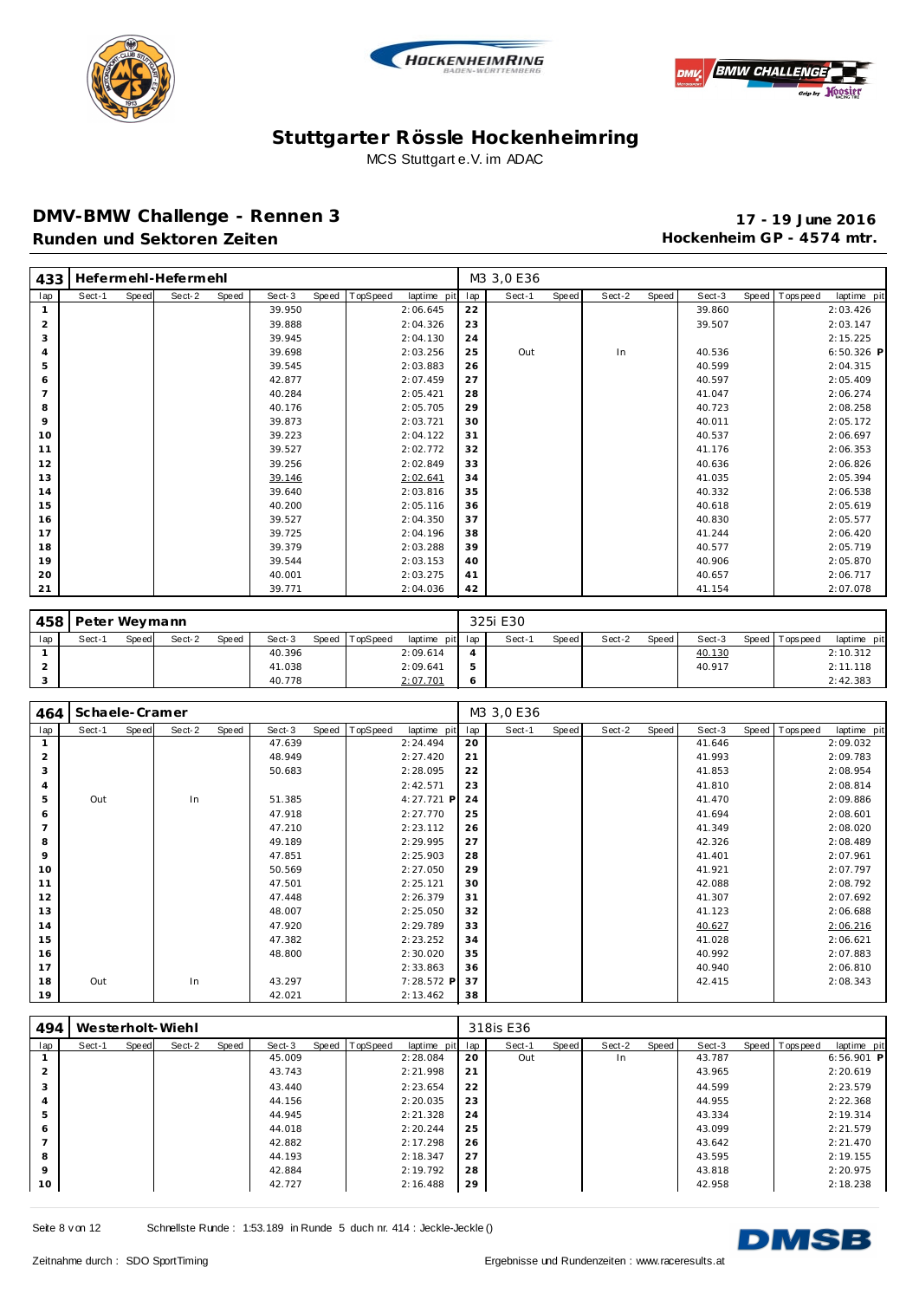





#### **DMV-BMW Challenge - Rennen 3 17 - 19 June 2016** Runden und Sektoren Zeiten **Munden und Sektoren Zeiten Hockenheim GP** - 4574 mtr.

| 433            |        |       | Hefermehl-Hefermehl |       |        |       |          |             |     | M3 3,0 E36 |       |        |       |        |                  |             |
|----------------|--------|-------|---------------------|-------|--------|-------|----------|-------------|-----|------------|-------|--------|-------|--------|------------------|-------------|
| lap            | Sect-1 | Speed | Sect-2              | Speed | Sect-3 | Speed | TopSpeed | laptime pit | lap | Sect-1     | Speed | Sect-2 | Speed | Sect-3 | Speed   Topspeed | laptime pit |
| $\mathbf{1}$   |        |       |                     |       | 39.950 |       |          | 2:06.645    | 22  |            |       |        |       | 39.860 |                  | 2:03.426    |
| $\overline{2}$ |        |       |                     |       | 39.888 |       |          | 2:04.326    | 23  |            |       |        |       | 39.507 |                  | 2:03.147    |
| 3              |        |       |                     |       | 39.945 |       |          | 2:04.130    | 24  |            |       |        |       |        |                  | 2:15.225    |
| 4              |        |       |                     |       | 39.698 |       |          | 2:03.256    | 25  | Out        |       | In     |       | 40.536 |                  | 6:50.326 P  |
| 5              |        |       |                     |       | 39.545 |       |          | 2:03.883    | 26  |            |       |        |       | 40.599 |                  | 2:04.315    |
| 6              |        |       |                     |       | 42.877 |       |          | 2:07.459    | 27  |            |       |        |       | 40.597 |                  | 2:05.409    |
| $\overline{7}$ |        |       |                     |       | 40.284 |       |          | 2:05.421    | 28  |            |       |        |       | 41.047 |                  | 2:06.274    |
| 8              |        |       |                     |       | 40.176 |       |          | 2:05.705    | 29  |            |       |        |       | 40.723 |                  | 2:08.258    |
| 9              |        |       |                     |       | 39.873 |       |          | 2:03.721    | 30  |            |       |        |       | 40.011 |                  | 2:05.172    |
| 10             |        |       |                     |       | 39.223 |       |          | 2:04.122    | 31  |            |       |        |       | 40.537 |                  | 2:06.697    |
| 11             |        |       |                     |       | 39.527 |       |          | 2:02.772    | 32  |            |       |        |       | 41.176 |                  | 2:06.353    |
| 12             |        |       |                     |       | 39.256 |       |          | 2:02.849    | 33  |            |       |        |       | 40.636 |                  | 2:06.826    |
| 13             |        |       |                     |       | 39.146 |       |          | 2:02.641    | 34  |            |       |        |       | 41.035 |                  | 2:05.394    |
| 14             |        |       |                     |       | 39.640 |       |          | 2:03.816    | 35  |            |       |        |       | 40.332 |                  | 2:06.538    |
| 15             |        |       |                     |       | 40.200 |       |          | 2:05.116    | 36  |            |       |        |       | 40.618 |                  | 2:05.619    |
| 16             |        |       |                     |       | 39.527 |       |          | 2:04.350    | 37  |            |       |        |       | 40.830 |                  | 2:05.577    |
| 17             |        |       |                     |       | 39.725 |       |          | 2:04.196    | 38  |            |       |        |       | 41.244 |                  | 2:06.420    |
| 18             |        |       |                     |       | 39.379 |       |          | 2:03.288    | 39  |            |       |        |       | 40.577 |                  | 2:05.719    |
| 19             |        |       |                     |       | 39.544 |       |          | 2:03.153    | 40  |            |       |        |       | 40.906 |                  | 2:05.870    |
| 20             |        |       |                     |       | 40.001 |       |          | 2:03.275    | 41  |            |       |        |       | 40.657 |                  | 2:06.717    |
| 21             |        |       |                     |       | 39.771 |       |          | 2:04.036    | 42  |            |       |        |       | 41.154 |                  | 2:07.078    |

|     | 458   Peter Weymann |       |        |              |        |       |                 |                 | 325i E30 |       |        |       |        |                 |             |
|-----|---------------------|-------|--------|--------------|--------|-------|-----------------|-----------------|----------|-------|--------|-------|--------|-----------------|-------------|
| lap | Sect-1              | Speed | Sect-2 | <b>Speed</b> | Sect-3 | Speed | <b>TopSpeed</b> | laptime pit lap | Sect-1   | Speed | Sect-2 | Speed | Sect-3 | Speed Tops peed | laptime pit |
|     |                     |       |        |              | 40.396 |       |                 | 2:09.614        |          |       |        |       | 40.130 |                 | 2:10.312    |
|     |                     |       |        |              | 41.038 |       |                 | 2:09.641        |          |       |        |       | 40.917 |                 | 2:11.118    |
|     |                     |       |        |              | 40.778 |       |                 | 2:07.701        |          |       |        |       |        |                 | 2:42.383    |

| 464            | Schaele-Cramer |       |        |       |        |       |          |             |     | M3 3,0 E36 |       |        |       |        |                |             |
|----------------|----------------|-------|--------|-------|--------|-------|----------|-------------|-----|------------|-------|--------|-------|--------|----------------|-------------|
| lap            | Sect-1         | Speed | Sect-2 | Speed | Sect-3 | Speed | TopSpeed | laptime pit | lap | Sect-1     | Speed | Sect-2 | Speed | Sect-3 | Speed Topspeed | laptime pit |
|                |                |       |        |       | 47.639 |       |          | 2:24.494    | 20  |            |       |        |       | 41.646 |                | 2:09.032    |
| $\overline{2}$ |                |       |        |       | 48.949 |       |          | 2:27.420    | 21  |            |       |        |       | 41.993 |                | 2:09.783    |
| 3              |                |       |        |       | 50.683 |       |          | 2:28.095    | 22  |            |       |        |       | 41.853 |                | 2:08.954    |
| $\overline{4}$ |                |       |        |       |        |       |          | 2:42.571    | 23  |            |       |        |       | 41.810 |                | 2:08.814    |
| 5              | Out            |       | In     |       | 51.385 |       |          | 4:27.721 P  | 24  |            |       |        |       | 41.470 |                | 2:09.886    |
| 6              |                |       |        |       | 47.918 |       |          | 2:27.770    | 25  |            |       |        |       | 41.694 |                | 2:08.601    |
| $\overline{7}$ |                |       |        |       | 47.210 |       |          | 2:23.112    | 26  |            |       |        |       | 41.349 |                | 2:08.020    |
| 8              |                |       |        |       | 49.189 |       |          | 2:29.995    | 27  |            |       |        |       | 42.326 |                | 2:08.489    |
| 9              |                |       |        |       | 47.851 |       |          | 2:25.903    | 28  |            |       |        |       | 41.401 |                | 2:07.961    |
| 10             |                |       |        |       | 50.569 |       |          | 2:27.050    | 29  |            |       |        |       | 41.921 |                | 2:07.797    |
| 11             |                |       |        |       | 47.501 |       |          | 2:25.121    | 30  |            |       |        |       | 42.088 |                | 2:08.792    |
| 12             |                |       |        |       | 47.448 |       |          | 2:26.379    | 31  |            |       |        |       | 41.307 |                | 2:07.692    |
| 13             |                |       |        |       | 48.007 |       |          | 2:25.050    | 32  |            |       |        |       | 41.123 |                | 2:06.688    |
| 14             |                |       |        |       | 47.920 |       |          | 2:29.789    | 33  |            |       |        |       | 40.627 |                | 2:06.216    |
| 15             |                |       |        |       | 47.382 |       |          | 2:23.252    | 34  |            |       |        |       | 41.028 |                | 2:06.621    |
| 16             |                |       |        |       | 48.800 |       |          | 2:30.020    | 35  |            |       |        |       | 40.992 |                | 2:07.883    |
| 17             |                |       |        |       |        |       |          | 2:33.863    | 36  |            |       |        |       | 40.940 |                | 2:06.810    |
| 18             | Out            |       | In     |       | 43.297 |       |          | 7:28.572 P  | 37  |            |       |        |       | 42.415 |                | 2:08.343    |
| 19             |                |       |        |       | 42.021 |       |          | 2:13.462    | 38  |            |       |        |       |        |                |             |

| 494           |        |       | Westerholt-Wiehl |       |        |                |             |     | 318is E36 |       |        |       |        |                |              |
|---------------|--------|-------|------------------|-------|--------|----------------|-------------|-----|-----------|-------|--------|-------|--------|----------------|--------------|
| lap           | Sect-1 | Speed | Sect-2           | Speed | Sect-3 | Speed TopSpeed | laptime pit | lap | Sect-1    | Speed | Sect-2 | Speed | Sect-3 | Speed Topspeed | laptime pit  |
|               |        |       |                  |       | 45.009 |                | 2:28.084    | 20  | Out       |       | In     |       | 43.787 |                | $6:56.901$ P |
| $\mathcal{P}$ |        |       |                  |       | 43.743 |                | 2:21.998    | 21  |           |       |        |       | 43.965 |                | 2:20.619     |
| 3             |        |       |                  |       | 43.440 |                | 2:23.654    | 22  |           |       |        |       | 44.599 |                | 2:23.579     |
| 4             |        |       |                  |       | 44.156 |                | 2:20.035    | 23  |           |       |        |       | 44.955 |                | 2:22.368     |
| 5             |        |       |                  |       | 44.945 |                | 2:21.328    | 24  |           |       |        |       | 43.334 |                | 2:19.314     |
| 6             |        |       |                  |       | 44.018 |                | 2:20.244    | 25  |           |       |        |       | 43.099 |                | 2:21.579     |
|               |        |       |                  |       | 42.882 |                | 2:17.298    | 26  |           |       |        |       | 43.642 |                | 2:21.470     |
| 8             |        |       |                  |       | 44.193 |                | 2:18.347    | 27  |           |       |        |       | 43.595 |                | 2:19.155     |
| $\circ$       |        |       |                  |       | 42.884 |                | 2:19.792    | 28  |           |       |        |       | 43.818 |                | 2:20.975     |
| 10            |        |       |                  |       | 42.727 |                | 2:16.488    | 29  |           |       |        |       | 42.958 |                | 2:18.238     |

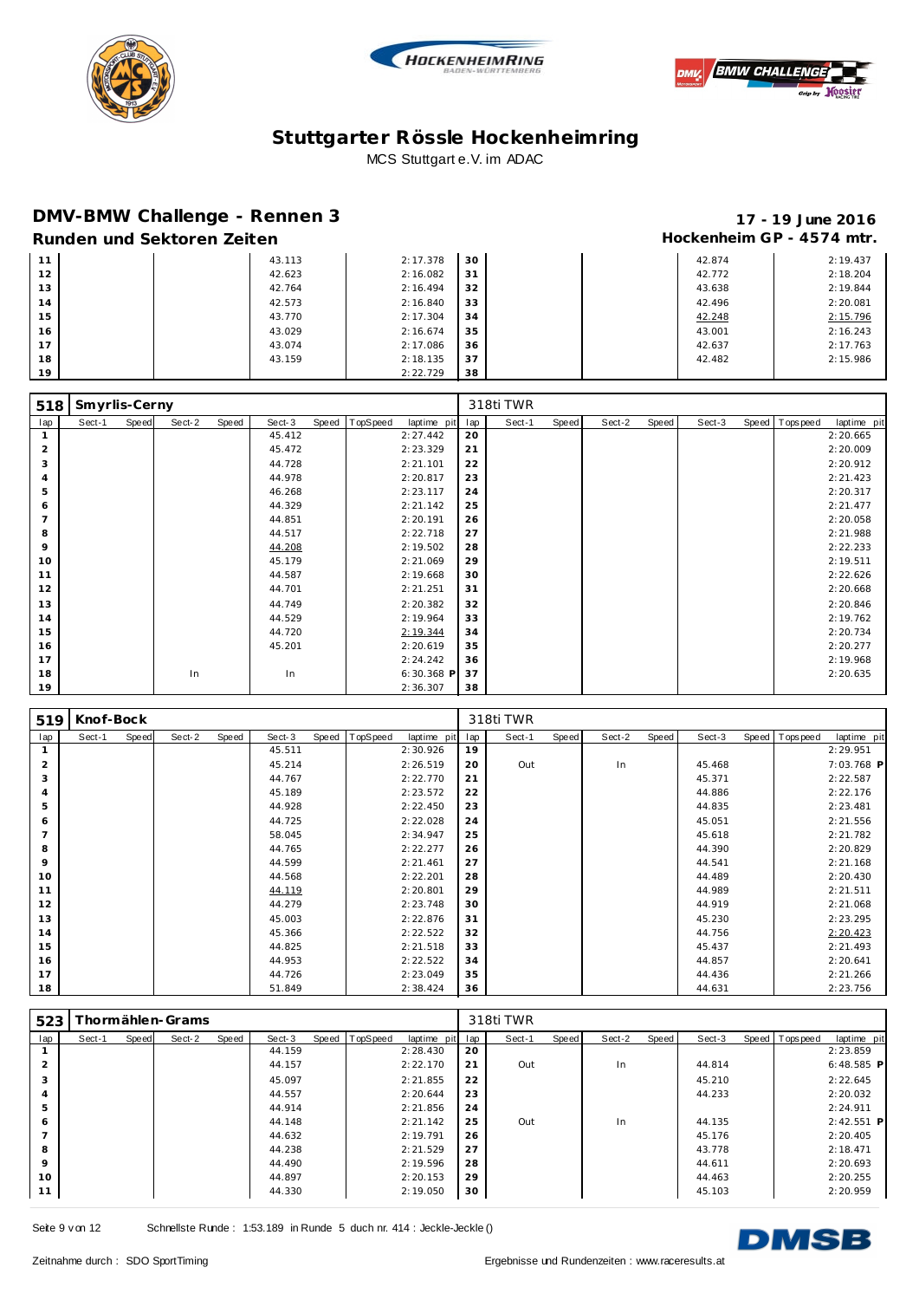





### **DMV-BMW Challenge - Rennen 3 17 - 19 June 2016**

# **Runden und Sektoren Zeiten Munden und Sektoren Zeiten Hockenheim GP** - 4574 mtr.

|    | <u>indi iden dina bentu en zenten</u> |        |          |    |        | .        |
|----|---------------------------------------|--------|----------|----|--------|----------|
| 11 |                                       | 43.113 | 2:17.378 | 30 | 42.874 | 2:19.437 |
| 12 |                                       | 42.623 | 2:16.082 | 31 | 42.772 | 2:18.204 |
| 13 |                                       | 42.764 | 2:16.494 | 32 | 43.638 | 2:19.844 |
| 14 |                                       | 42.573 | 2:16.840 | 33 | 42.496 | 2:20.081 |
| 15 |                                       | 43.770 | 2:17.304 | 34 | 42.248 | 2:15.796 |
| 16 |                                       | 43.029 | 2:16.674 | 35 | 43.001 | 2:16.243 |
| 17 |                                       | 43.074 | 2:17.086 | 36 | 42.637 | 2:17.763 |
| 18 |                                       | 43.159 | 2:18.135 | 37 | 42.482 | 2:15.986 |
| 19 |                                       |        | 2:22.729 | 38 |        |          |

| 518            | Smyrlis-Cerny |       |        |       |        |       |          |             |     | 318ti TWR |       |        |       |        |                |             |
|----------------|---------------|-------|--------|-------|--------|-------|----------|-------------|-----|-----------|-------|--------|-------|--------|----------------|-------------|
| lap            | Sect-1        | Speed | Sect-2 | Speed | Sect-3 | Speed | TopSpeed | laptime pit | lap | Sect-1    | Speed | Sect-2 | Speed | Sect-3 | Speed Topspeed | laptime pit |
|                |               |       |        |       | 45.412 |       |          | 2:27.442    | 20  |           |       |        |       |        |                | 2:20.665    |
| $\overline{2}$ |               |       |        |       | 45.472 |       |          | 2:23.329    | 21  |           |       |        |       |        |                | 2:20.009    |
| 3              |               |       |        |       | 44.728 |       |          | 2:21.101    | 22  |           |       |        |       |        |                | 2:20.912    |
| $\overline{A}$ |               |       |        |       | 44.978 |       |          | 2:20.817    | 23  |           |       |        |       |        |                | 2:21.423    |
| 5              |               |       |        |       | 46.268 |       |          | 2:23.117    | 24  |           |       |        |       |        |                | 2:20.317    |
| 6              |               |       |        |       | 44.329 |       |          | 2:21.142    | 25  |           |       |        |       |        |                | 2:21.477    |
| $\overline{7}$ |               |       |        |       | 44.851 |       |          | 2:20.191    | 26  |           |       |        |       |        |                | 2:20.058    |
| 8              |               |       |        |       | 44.517 |       |          | 2:22.718    | 27  |           |       |        |       |        |                | 2:21.988    |
| 9              |               |       |        |       | 44.208 |       |          | 2:19.502    | 28  |           |       |        |       |        |                | 2:22.233    |
| 10             |               |       |        |       | 45.179 |       |          | 2:21.069    | 29  |           |       |        |       |        |                | 2:19.511    |
| 11             |               |       |        |       | 44.587 |       |          | 2:19.668    | 30  |           |       |        |       |        |                | 2:22.626    |
| 12             |               |       |        |       | 44.701 |       |          | 2:21.251    | 31  |           |       |        |       |        |                | 2:20.668    |
| 13             |               |       |        |       | 44.749 |       |          | 2:20.382    | 32  |           |       |        |       |        |                | 2:20.846    |
| 14             |               |       |        |       | 44.529 |       |          | 2:19.964    | 33  |           |       |        |       |        |                | 2:19.762    |
| 15             |               |       |        |       | 44.720 |       |          | 2:19.344    | 34  |           |       |        |       |        |                | 2:20.734    |
| 16             |               |       |        |       | 45.201 |       |          | 2:20.619    | 35  |           |       |        |       |        |                | 2:20.277    |
| 17             |               |       |        |       |        |       |          | 2:24.242    | 36  |           |       |        |       |        |                | 2:19.968    |
| 18             |               |       | In     |       | In     |       |          | 6:30.368 P  | 37  |           |       |        |       |        |                | 2:20.635    |
| 19             |               |       |        |       |        |       |          | 2:36.307    | 38  |           |       |        |       |        |                |             |

| 519            | Knof-Bock |       |        |       |        |       |          |             |     | 318ti TWR |              |        |       |        |                |             |
|----------------|-----------|-------|--------|-------|--------|-------|----------|-------------|-----|-----------|--------------|--------|-------|--------|----------------|-------------|
| lap            | Sect-1    | Speed | Sect-2 | Speed | Sect-3 | Speed | TopSpeed | laptime pit | lap | Sect-1    | <b>Speed</b> | Sect-2 | Speed | Sect-3 | Speed Topspeed | laptime pit |
|                |           |       |        |       | 45.511 |       |          | 2:30.926    | 19  |           |              |        |       |        |                | 2:29.951    |
| $\overline{2}$ |           |       |        |       | 45.214 |       |          | 2:26.519    | 20  | Out       |              | In     |       | 45.468 |                | 7:03.768 P  |
| 3              |           |       |        |       | 44.767 |       |          | 2:22.770    | 21  |           |              |        |       | 45.371 |                | 2:22.587    |
| $\overline{4}$ |           |       |        |       | 45.189 |       |          | 2:23.572    | 22  |           |              |        |       | 44.886 |                | 2:22.176    |
| 5              |           |       |        |       | 44.928 |       |          | 2:22.450    | 23  |           |              |        |       | 44.835 |                | 2:23.481    |
| 6              |           |       |        |       | 44.725 |       |          | 2:22.028    | 24  |           |              |        |       | 45.051 |                | 2:21.556    |
| $\overline{7}$ |           |       |        |       | 58.045 |       |          | 2:34.947    | 25  |           |              |        |       | 45.618 |                | 2:21.782    |
| 8              |           |       |        |       | 44.765 |       |          | 2:22.277    | 26  |           |              |        |       | 44.390 |                | 2:20.829    |
| 9              |           |       |        |       | 44.599 |       |          | 2:21.461    | 27  |           |              |        |       | 44.541 |                | 2:21.168    |
| 10             |           |       |        |       | 44.568 |       |          | 2:22.201    | 28  |           |              |        |       | 44.489 |                | 2:20.430    |
| 11             |           |       |        |       | 44.119 |       |          | 2:20.801    | 29  |           |              |        |       | 44.989 |                | 2:21.511    |
| 12             |           |       |        |       | 44.279 |       |          | 2:23.748    | 30  |           |              |        |       | 44.919 |                | 2:21.068    |
| 13             |           |       |        |       | 45.003 |       |          | 2:22.876    | 31  |           |              |        |       | 45.230 |                | 2:23.295    |
| 14             |           |       |        |       | 45.366 |       |          | 2:22.522    | 32  |           |              |        |       | 44.756 |                | 2:20.423    |
| 15             |           |       |        |       | 44.825 |       |          | 2:21.518    | 33  |           |              |        |       | 45.437 |                | 2:21.493    |
| 16             |           |       |        |       | 44.953 |       |          | 2:22.522    | 34  |           |              |        |       | 44.857 |                | 2:20.641    |
| 17             |           |       |        |       | 44.726 |       |          | 2:23.049    | 35  |           |              |        |       | 44.436 |                | 2:21.266    |
| 18             |           |       |        |       | 51.849 |       |          | 2:38.424    | 36  |           |              |        |       | 44.631 |                | 2:23.756    |

| 523     |        |       | [hormählen-Grams] |       |        |                  |             |     | 318ti TWR |       |        |       |        |                |              |
|---------|--------|-------|-------------------|-------|--------|------------------|-------------|-----|-----------|-------|--------|-------|--------|----------------|--------------|
| lap     | Sect-1 | Speed | Sect-2            | Speed | Sect-3 | Speed   TopSpeed | laptime pit | lap | Sect-1    | Speed | Sect-2 | Speed | Sect-3 | Speed Topspeed | laptime pit  |
|         |        |       |                   |       | 44.159 |                  | 2:28.430    | 20  |           |       |        |       |        |                | 2:23.859     |
|         |        |       |                   |       | 44.157 |                  | 2:22.170    | 21  | Out       |       | In     |       | 44.814 |                | $6:48.585$ P |
| 3       |        |       |                   |       | 45.097 |                  | 2:21.855    | 22  |           |       |        |       | 45.210 |                | 2:22.645     |
|         |        |       |                   |       | 44.557 |                  | 2:20.644    | 23  |           |       |        |       | 44.233 |                | 2:20.032     |
| 5       |        |       |                   |       | 44.914 |                  | 2:21.856    | 24  |           |       |        |       |        |                | 2:24.911     |
| 6       |        |       |                   |       | 44.148 |                  | 2:21.142    | 25  | Out       |       | In     |       | 44.135 |                | $2:42.551$ P |
|         |        |       |                   |       | 44.632 |                  | 2:19.791    | 26  |           |       |        |       | 45.176 |                | 2:20.405     |
| 8       |        |       |                   |       | 44.238 |                  | 2:21.529    | 27  |           |       |        |       | 43.778 |                | 2:18.471     |
| $\circ$ |        |       |                   |       | 44.490 |                  | 2:19.596    | 28  |           |       |        |       | 44.611 |                | 2:20.693     |
| 10      |        |       |                   |       | 44.897 |                  | 2:20.153    | 29  |           |       |        |       | 44.463 |                | 2:20.255     |
| 11      |        |       |                   |       | 44.330 |                  | 2:19.050    | 30  |           |       |        |       | 45.103 |                | 2:20.959     |

Seite 9 v on 12 Schnellste Runde : 1:53.189 in Runde 5 duch nr. 414 : Jeckle-Jeckle ()

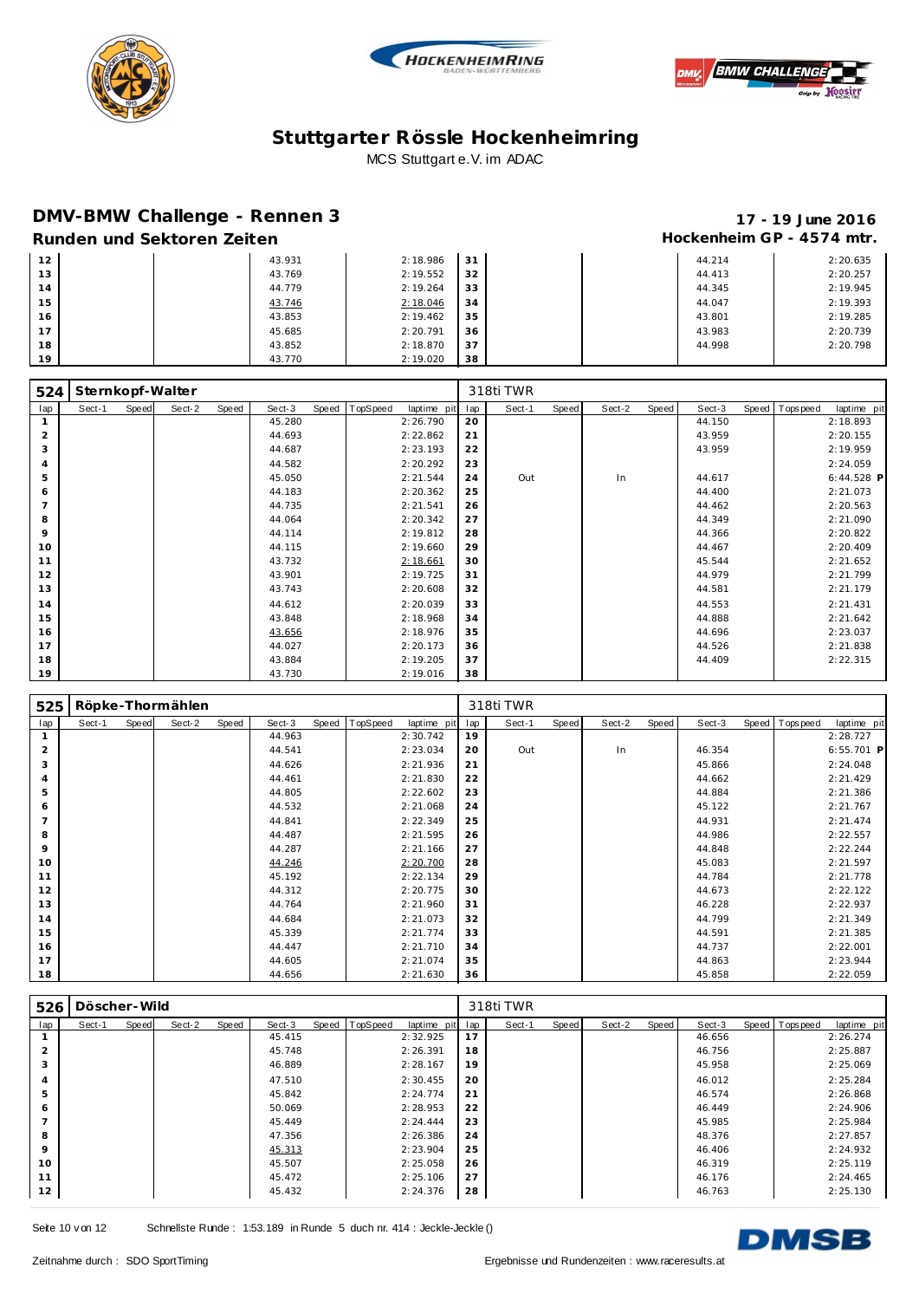





### **DMV-BMW Challenge - Rennen 3 17 - 19 June 2016**

# **Runden und Sektoren Zeiten Munden und Sektoren Zeiten Hockenheim GP** - 4574 mtr.

|    | $119111$ . The set of the set of $11$ and $11$ and $11$ and $11$ and $11$ and $11$ |        |          |       |  |        |          |
|----|------------------------------------------------------------------------------------|--------|----------|-------|--|--------|----------|
| 12 |                                                                                    | 43.931 | 2:18.986 | $-31$ |  | 44.214 | 2:20.635 |
| 13 |                                                                                    | 43.769 | 2:19.552 | 32    |  | 44.413 | 2:20.257 |
| 14 |                                                                                    | 44.779 | 2:19.264 | 33    |  | 44.345 | 2:19.945 |
| 15 |                                                                                    | 43.746 | 2:18.046 | 34    |  | 44.047 | 2:19.393 |
| 16 |                                                                                    | 43.853 | 2:19.462 | 35    |  | 43.801 | 2:19.285 |
| 17 |                                                                                    | 45.685 | 2:20.791 | 36    |  | 43.983 | 2:20.739 |
| 18 |                                                                                    | 43.852 | 2:18.870 | 37    |  | 44.998 | 2:20.798 |
| 19 |                                                                                    | 43.770 | 2:19.020 | 38    |  |        |          |

| 524            |        |       | Sternkopf-Walter |       |        |       |          |             |     | 318ti TWR |       |        |       |        |                   |             |
|----------------|--------|-------|------------------|-------|--------|-------|----------|-------------|-----|-----------|-------|--------|-------|--------|-------------------|-------------|
| lap            | Sect-1 | Speed | Sect-2           | Speed | Sect-3 | Speed | TopSpeed | laptime pit | lap | Sect-1    | Speed | Sect-2 | Speed | Sect-3 | Speed   Tops peed | laptime pit |
|                |        |       |                  |       | 45.280 |       |          | 2:26.790    | 20  |           |       |        |       | 44.150 |                   | 2:18.893    |
| $\overline{2}$ |        |       |                  |       | 44.693 |       |          | 2:22.862    | 21  |           |       |        |       | 43.959 |                   | 2:20.155    |
| 3              |        |       |                  |       | 44.687 |       |          | 2:23.193    | 22  |           |       |        |       | 43.959 |                   | 2:19.959    |
| $\overline{A}$ |        |       |                  |       | 44.582 |       |          | 2:20.292    | 23  |           |       |        |       |        |                   | 2:24.059    |
| 5              |        |       |                  |       | 45.050 |       |          | 2:21.544    | 24  | Out       |       | In     |       | 44.617 |                   | 6:44.528 P  |
| 6              |        |       |                  |       | 44.183 |       |          | 2:20.362    | 25  |           |       |        |       | 44.400 |                   | 2:21.073    |
| $\overline{7}$ |        |       |                  |       | 44.735 |       |          | 2:21.541    | 26  |           |       |        |       | 44.462 |                   | 2:20.563    |
| 8              |        |       |                  |       | 44.064 |       |          | 2:20.342    | 27  |           |       |        |       | 44.349 |                   | 2:21.090    |
| 9              |        |       |                  |       | 44.114 |       |          | 2:19.812    | 28  |           |       |        |       | 44.366 |                   | 2:20.822    |
| 10             |        |       |                  |       | 44.115 |       |          | 2:19.660    | 29  |           |       |        |       | 44.467 |                   | 2:20.409    |
| 11             |        |       |                  |       | 43.732 |       |          | 2:18.661    | 30  |           |       |        |       | 45.544 |                   | 2:21.652    |
| 12             |        |       |                  |       | 43.901 |       |          | 2:19.725    | 31  |           |       |        |       | 44.979 |                   | 2:21.799    |
| 13             |        |       |                  |       | 43.743 |       |          | 2:20.608    | 32  |           |       |        |       | 44.581 |                   | 2:21.179    |
| 14             |        |       |                  |       | 44.612 |       |          | 2:20.039    | 33  |           |       |        |       | 44.553 |                   | 2:21.431    |
| 15             |        |       |                  |       | 43.848 |       |          | 2:18.968    | 34  |           |       |        |       | 44.888 |                   | 2:21.642    |
| 16             |        |       |                  |       | 43.656 |       |          | 2:18.976    | 35  |           |       |        |       | 44.696 |                   | 2:23.037    |
| 17             |        |       |                  |       | 44.027 |       |          | 2:20.173    | 36  |           |       |        |       | 44.526 |                   | 2:21.838    |
| 18             |        |       |                  |       | 43.884 |       |          | 2:19.205    | 37  |           |       |        |       | 44.409 |                   | 2:22.315    |
| 19             |        |       |                  |       | 43.730 |       |          | 2:19.016    | 38  |           |       |        |       |        |                   |             |

| 525            |        |       | Röpke-Thormählen |       |        |       |          |             |     | 318ti TWR |       |        |       |        |                |              |
|----------------|--------|-------|------------------|-------|--------|-------|----------|-------------|-----|-----------|-------|--------|-------|--------|----------------|--------------|
| lap            | Sect-1 | Speed | Sect-2           | Speed | Sect-3 | Speed | TopSpeed | laptime pit | lap | Sect-1    | Speed | Sect-2 | Speed | Sect-3 | Speed Topspeed | laptime pit  |
|                |        |       |                  |       | 44.963 |       |          | 2:30.742    | 19  |           |       |        |       |        |                | 2:28.727     |
| 2              |        |       |                  |       | 44.541 |       |          | 2:23.034    | 20  | Out       |       | In     |       | 46.354 |                | $6:55.701$ P |
| 3              |        |       |                  |       | 44.626 |       |          | 2:21.936    | 21  |           |       |        |       | 45.866 |                | 2:24.048     |
| 4              |        |       |                  |       | 44.461 |       |          | 2:21.830    | 22  |           |       |        |       | 44.662 |                | 2:21.429     |
| 5              |        |       |                  |       | 44.805 |       |          | 2:22.602    | 23  |           |       |        |       | 44.884 |                | 2:21.386     |
| 6              |        |       |                  |       | 44.532 |       |          | 2:21.068    | 24  |           |       |        |       | 45.122 |                | 2:21.767     |
| $\overline{7}$ |        |       |                  |       | 44.841 |       |          | 2:22.349    | 25  |           |       |        |       | 44.931 |                | 2:21.474     |
| 8              |        |       |                  |       | 44.487 |       |          | 2:21.595    | 26  |           |       |        |       | 44.986 |                | 2:22.557     |
| 9              |        |       |                  |       | 44.287 |       |          | 2:21.166    | 27  |           |       |        |       | 44.848 |                | 2:22.244     |
| 10             |        |       |                  |       | 44.246 |       |          | 2:20.700    | 28  |           |       |        |       | 45.083 |                | 2:21.597     |
| 11             |        |       |                  |       | 45.192 |       |          | 2:22.134    | 29  |           |       |        |       | 44.784 |                | 2:21.778     |
| 12             |        |       |                  |       | 44.312 |       |          | 2:20.775    | 30  |           |       |        |       | 44.673 |                | 2:22.122     |
| 13             |        |       |                  |       | 44.764 |       |          | 2:21.960    | 31  |           |       |        |       | 46.228 |                | 2:22.937     |
| 14             |        |       |                  |       | 44.684 |       |          | 2:21.073    | 32  |           |       |        |       | 44.799 |                | 2:21.349     |
| 15             |        |       |                  |       | 45.339 |       |          | 2:21.774    | 33  |           |       |        |       | 44.591 |                | 2:21.385     |
| 16             |        |       |                  |       | 44.447 |       |          | 2:21.710    | 34  |           |       |        |       | 44.737 |                | 2:22.001     |
| 17             |        |       |                  |       | 44.605 |       |          | 2:21.074    | 35  |           |       |        |       | 44.863 |                | 2:23.944     |
| 18             |        |       |                  |       | 44.656 |       |          | 2:21.630    | 36  |           |       |        |       | 45.858 |                | 2:22.059     |

| 526 | Döscher - Wild |       |        |       |        |                |             |     | 318ti TWR |       |        |       |        |                |             |
|-----|----------------|-------|--------|-------|--------|----------------|-------------|-----|-----------|-------|--------|-------|--------|----------------|-------------|
| lap | Sect-1         | Speed | Sect-2 | Speed | Sect-3 | Speed TopSpeed | laptime pit | lap | Sect-1    | Speed | Sect-2 | Speed | Sect-3 | Speed Topspeed | laptime pit |
|     |                |       |        |       | 45.415 |                | 2:32.925    | 17  |           |       |        |       | 46.656 |                | 2:26.274    |
| 2   |                |       |        |       | 45.748 |                | 2:26.391    | 18  |           |       |        |       | 46.756 |                | 2:25.887    |
| 3   |                |       |        |       | 46.889 |                | 2:28.167    | 19  |           |       |        |       | 45.958 |                | 2:25.069    |
| 4   |                |       |        |       | 47.510 |                | 2:30.455    | 20  |           |       |        |       | 46.012 |                | 2:25.284    |
| 5   |                |       |        |       | 45.842 |                | 2:24.774    | 21  |           |       |        |       | 46.574 |                | 2:26.868    |
| 6   |                |       |        |       | 50.069 |                | 2:28.953    | 22  |           |       |        |       | 46.449 |                | 2:24.906    |
|     |                |       |        |       | 45.449 |                | 2:24.444    | 23  |           |       |        |       | 45.985 |                | 2:25.984    |
| 8   |                |       |        |       | 47.356 |                | 2:26.386    | 24  |           |       |        |       | 48.376 |                | 2:27.857    |
| 9   |                |       |        |       | 45.313 |                | 2:23.904    | 25  |           |       |        |       | 46.406 |                | 2:24.932    |
| 10  |                |       |        |       | 45.507 |                | 2:25.058    | 26  |           |       |        |       | 46.319 |                | 2:25.119    |
| 11  |                |       |        |       | 45.472 |                | 2:25.106    | 27  |           |       |        |       | 46.176 |                | 2:24.465    |
| 12  |                |       |        |       | 45.432 |                | 2:24.376    | 28  |           |       |        |       | 46.763 |                | 2:25.130    |

Seite 10 v on 12 Schnellste Runde : 1:53.189 in Runde 5 duch nr. 414 : Jeckle-Jeckle ()

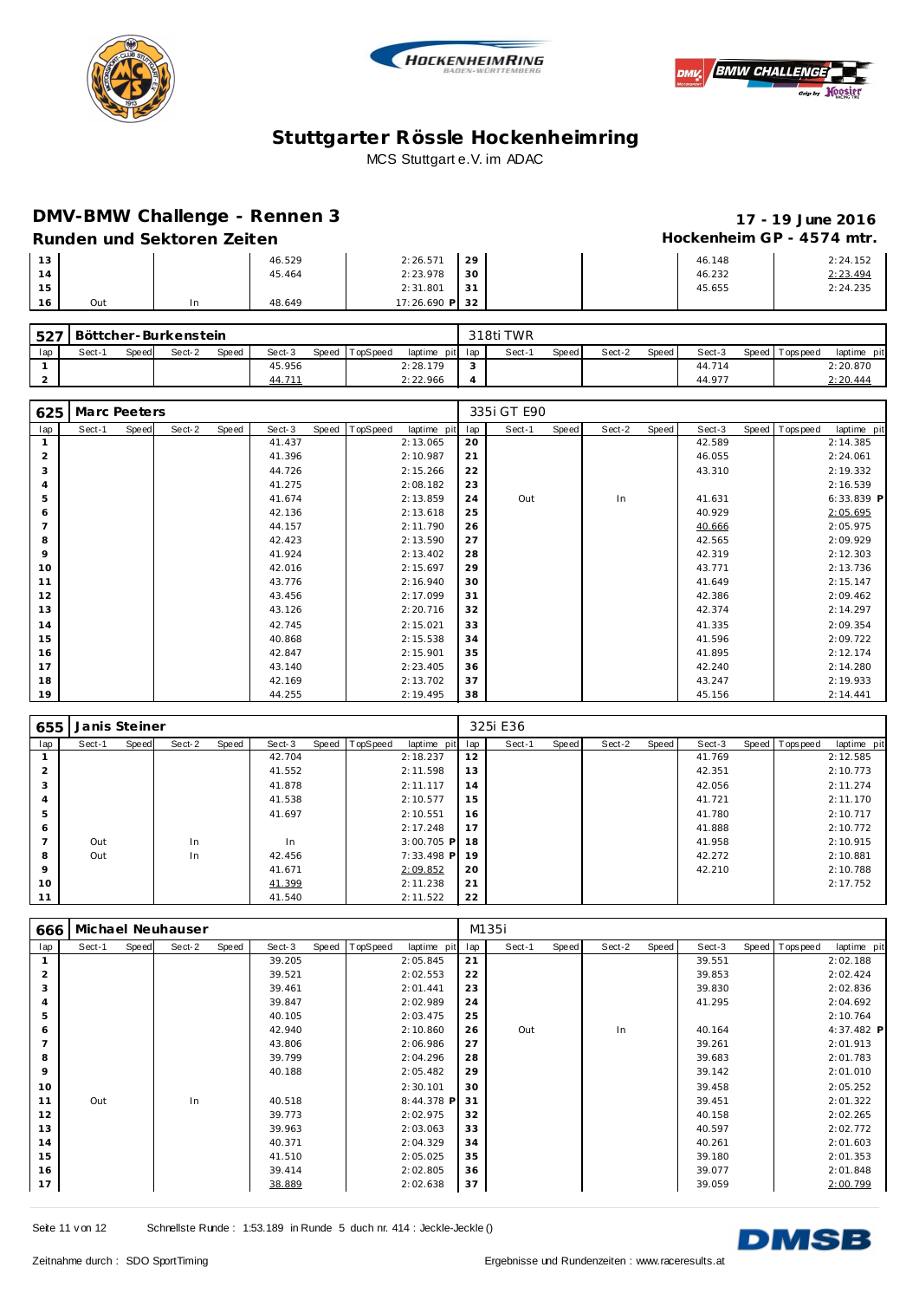





### **DMV-BMW Challenge - Rennen 3 17 - 19 June 2016**

# Hockenheim GP - 4574 mtr.

| Runden und Sektoren Zeiten |  |
|----------------------------|--|
|----------------------------|--|

| 13 |     | 46.529 | 2:26.571       | 29 |  | 46.148 | 2:24.152 |
|----|-----|--------|----------------|----|--|--------|----------|
| 14 |     | 45.464 | 2:23.978       | 30 |  | 46.232 | 2:23.494 |
| 15 |     |        | 2:31.801       | 31 |  | 45.655 | 2:24.235 |
| 16 | Out | 48.649 | 17:26.690 P 32 |    |  |        |          |

|     | ∫527   Böttcher-Burkenstein |              |        |       |        |                |                 | 318ti TWR |       |        |         |        |                   |             |
|-----|-----------------------------|--------------|--------|-------|--------|----------------|-----------------|-----------|-------|--------|---------|--------|-------------------|-------------|
| lap | Sect-1                      | <b>Speed</b> | Sect-2 | Speed | Sect-3 | Speed TopSpeed | laptime pit lap | Sect-1    | Speed | Sect-2 | Speed I | Sect-3 | Speed   Tops peed | laptime pit |
|     |                             |              |        |       | 45.956 |                | 2:28.179        |           |       |        |         | 44.714 |                   | 2:20.870    |
|     |                             |              |        |       | 44.711 |                | 2:22.966        |           |       |        |         | 44.977 |                   | 2:20.444    |

| 625 | Marc Peeters |       |        |       |        |       |          |             |     | 335i GT E90 |       |        |       |        |                |             |
|-----|--------------|-------|--------|-------|--------|-------|----------|-------------|-----|-------------|-------|--------|-------|--------|----------------|-------------|
| lap | Sect-1       | Speed | Sect-2 | Speed | Sect-3 | Speed | TopSpeed | laptime pit | lap | Sect-1      | Speed | Sect-2 | Speed | Sect-3 | Speed Topspeed | laptime pit |
|     |              |       |        |       | 41.437 |       |          | 2:13.065    | 20  |             |       |        |       | 42.589 |                | 2:14.385    |
| 2   |              |       |        |       | 41.396 |       |          | 2:10.987    | 21  |             |       |        |       | 46.055 |                | 2:24.061    |
| 3   |              |       |        |       | 44.726 |       |          | 2:15.266    | 22  |             |       |        |       | 43.310 |                | 2:19.332    |
|     |              |       |        |       | 41.275 |       |          | 2:08.182    | 23  |             |       |        |       |        |                | 2:16.539    |
| 5   |              |       |        |       | 41.674 |       |          | 2:13.859    | 24  | Out         |       | In     |       | 41.631 |                | 6:33.839 P  |
| 6   |              |       |        |       | 42.136 |       |          | 2:13.618    | 25  |             |       |        |       | 40.929 |                | 2:05.695    |
|     |              |       |        |       | 44.157 |       |          | 2:11.790    | 26  |             |       |        |       | 40.666 |                | 2:05.975    |
| 8   |              |       |        |       | 42.423 |       |          | 2:13.590    | 27  |             |       |        |       | 42.565 |                | 2:09.929    |
| 9   |              |       |        |       | 41.924 |       |          | 2:13.402    | 28  |             |       |        |       | 42.319 |                | 2:12.303    |
| 10  |              |       |        |       | 42.016 |       |          | 2:15.697    | 29  |             |       |        |       | 43.771 |                | 2:13.736    |
| 11  |              |       |        |       | 43.776 |       |          | 2:16.940    | 30  |             |       |        |       | 41.649 |                | 2:15.147    |
| 12  |              |       |        |       | 43.456 |       |          | 2:17.099    | 31  |             |       |        |       | 42.386 |                | 2:09.462    |
| 13  |              |       |        |       | 43.126 |       |          | 2:20.716    | 32  |             |       |        |       | 42.374 |                | 2:14.297    |
| 14  |              |       |        |       | 42.745 |       |          | 2:15.021    | 33  |             |       |        |       | 41.335 |                | 2:09.354    |
| 15  |              |       |        |       | 40.868 |       |          | 2:15.538    | 34  |             |       |        |       | 41.596 |                | 2:09.722    |
| 16  |              |       |        |       | 42.847 |       |          | 2:15.901    | 35  |             |       |        |       | 41.895 |                | 2:12.174    |
| 17  |              |       |        |       | 43.140 |       |          | 2:23.405    | 36  |             |       |        |       | 42.240 |                | 2:14.280    |
| 18  |              |       |        |       | 42.169 |       |          | 2:13.702    | 37  |             |       |        |       | 43.247 |                | 2:19.933    |
| 19  |              |       |        |       | 44.255 |       |          | 2:19.495    | 38  |             |       |        |       | 45.156 |                | 2:14.441    |

| 655            | Janis Steiner |       |        |       |        |       |          |              |     | 325i E36 |       |        |       |        |                |             |
|----------------|---------------|-------|--------|-------|--------|-------|----------|--------------|-----|----------|-------|--------|-------|--------|----------------|-------------|
| lap            | Sect-1        | Speed | Sect-2 | Speed | Sect-3 | Speed | TopSpeed | laptime pit  | lap | Sect-1   | Speed | Sect-2 | Speed | Sect-3 | Speed Topspeed | laptime pit |
|                |               |       |        |       | 42.704 |       |          | 2:18.237     | 12  |          |       |        |       | 41.769 |                | 2:12.585    |
| $\overline{2}$ |               |       |        |       | 41.552 |       |          | 2:11.598     | 13  |          |       |        |       | 42.351 |                | 2:10.773    |
| 3              |               |       |        |       | 41.878 |       |          | 2:11.117     | 14  |          |       |        |       | 42.056 |                | 2:11.274    |
|                |               |       |        |       | 41.538 |       |          | 2:10.577     | 15  |          |       |        |       | 41.721 |                | 2:11.170    |
| 5              |               |       |        |       | 41.697 |       |          | 2:10.551     | 16  |          |       |        |       | 41.780 |                | 2:10.717    |
| 6              |               |       |        |       |        |       |          | 2:17.248     | 17  |          |       |        |       | 41.888 |                | 2:10.772    |
| -              | Out           |       | In     |       | In     |       |          | $3:00.705$ P | -18 |          |       |        |       | 41.958 |                | 2:10.915    |
| 8              | Out           |       | In     |       | 42.456 |       |          | 7:33.498 P   | -19 |          |       |        |       | 42.272 |                | 2:10.881    |
| 9              |               |       |        |       | 41.671 |       |          | 2:09.852     | 20  |          |       |        |       | 42.210 |                | 2:10.788    |
| 10             |               |       |        |       | 41.399 |       |          | 2:11.238     | 21  |          |       |        |       |        |                | 2:17.752    |
| 11             |               |       |        |       | 41.540 |       |          | 2:11.522     | 22  |          |       |        |       |        |                |             |

| 666 |        |       | Michael Neuhauser |       |        |       |          |             |     | M135i  |       |        |       |        |                   |             |
|-----|--------|-------|-------------------|-------|--------|-------|----------|-------------|-----|--------|-------|--------|-------|--------|-------------------|-------------|
| lap | Sect-1 | Speed | Sect-2            | Speed | Sect-3 | Speed | TopSpeed | laptime pit | lap | Sect-1 | Speed | Sect-2 | Speed | Sect-3 | Speed   Tops peed | laptime pit |
|     |        |       |                   |       | 39.205 |       |          | 2:05.845    | 21  |        |       |        |       | 39.551 |                   | 2:02.188    |
| 2   |        |       |                   |       | 39.521 |       |          | 2:02.553    | 22  |        |       |        |       | 39.853 |                   | 2:02.424    |
| 3   |        |       |                   |       | 39.461 |       |          | 2:01.441    | 23  |        |       |        |       | 39.830 |                   | 2:02.836    |
|     |        |       |                   |       | 39.847 |       |          | 2:02.989    | 24  |        |       |        |       | 41.295 |                   | 2:04.692    |
| 5   |        |       |                   |       | 40.105 |       |          | 2:03.475    | 25  |        |       |        |       |        |                   | 2:10.764    |
| 6   |        |       |                   |       | 42.940 |       |          | 2:10.860    | 26  | Out    |       | In     |       | 40.164 |                   | 4:37.482 P  |
|     |        |       |                   |       | 43.806 |       |          | 2:06.986    | 27  |        |       |        |       | 39.261 |                   | 2:01.913    |
| 8   |        |       |                   |       | 39.799 |       |          | 2:04.296    | 28  |        |       |        |       | 39.683 |                   | 2:01.783    |
| 9   |        |       |                   |       | 40.188 |       |          | 2:05.482    | 29  |        |       |        |       | 39.142 |                   | 2:01.010    |
| 10  |        |       |                   |       |        |       |          | 2:30.101    | 30  |        |       |        |       | 39.458 |                   | 2:05.252    |
| 11  | Out    |       | In                |       | 40.518 |       |          | 8:44.378 P  | 31  |        |       |        |       | 39.451 |                   | 2:01.322    |
| 12  |        |       |                   |       | 39.773 |       |          | 2:02.975    | 32  |        |       |        |       | 40.158 |                   | 2:02.265    |
| 13  |        |       |                   |       | 39.963 |       |          | 2:03.063    | 33  |        |       |        |       | 40.597 |                   | 2:02.772    |
| 14  |        |       |                   |       | 40.371 |       |          | 2:04.329    | 34  |        |       |        |       | 40.261 |                   | 2:01.603    |
| 15  |        |       |                   |       | 41.510 |       |          | 2:05.025    | 35  |        |       |        |       | 39.180 |                   | 2:01.353    |
| 16  |        |       |                   |       | 39.414 |       |          | 2:02.805    | 36  |        |       |        |       | 39.077 |                   | 2:01.848    |
| 17  |        |       |                   |       | 38.889 |       |          | 2:02.638    | 37  |        |       |        |       | 39.059 |                   | 2:00.799    |

Seite 11 v on 12 Schnellste Runde : 1:53.189 in Runde 5 duch nr. 414 : Jeckle-Jeckle ()